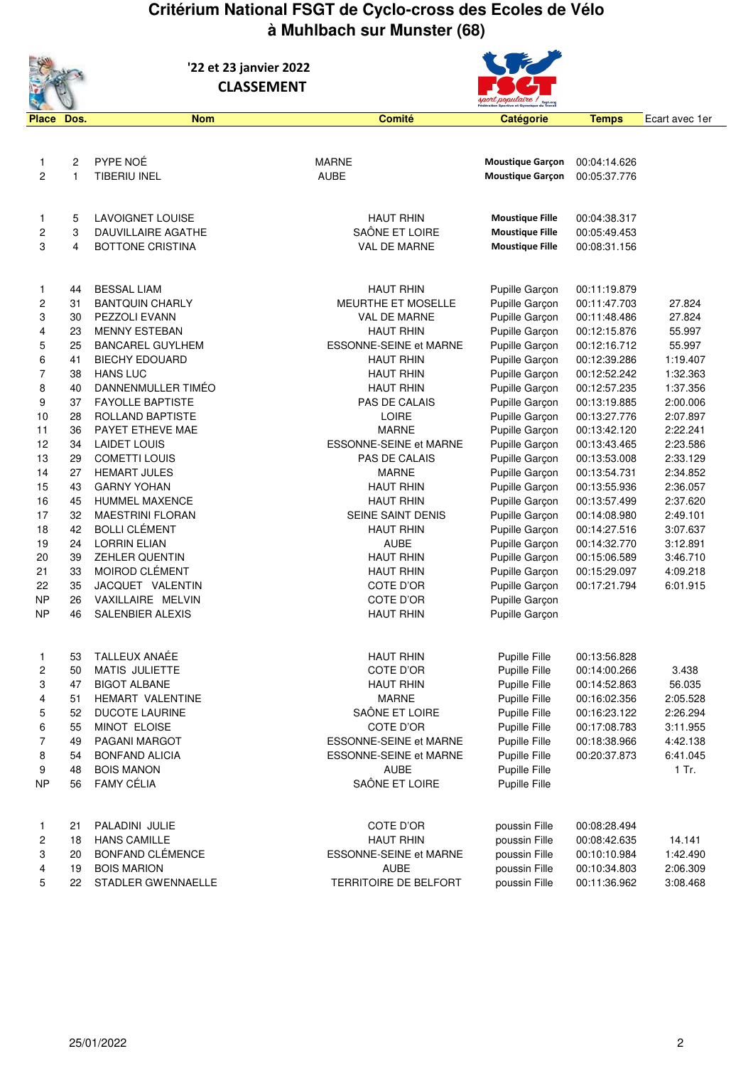## **Critérium National FSGT de Cyclo-cross des Ecoles de Vélo à Muhlbach sur Munster (68)**



 **'22 et 23 janvier 2022 CLASSEMENT** 



| <b>Place</b>     | Dos.                    | <b>Nom</b>                | <b>Comité</b>                 | Catégorie               | <b>Temps</b> | Ecart avec 1er |
|------------------|-------------------------|---------------------------|-------------------------------|-------------------------|--------------|----------------|
|                  |                         |                           |                               |                         |              |                |
|                  |                         |                           |                               |                         |              |                |
| 1                | $\overline{2}$          | PYPE NOÉ                  | <b>MARNE</b>                  | <b>Moustique Garçon</b> | 00:04:14.626 |                |
| $\overline{c}$   | 1                       | <b>TIBERIU INEL</b>       | <b>AUBE</b>                   | <b>Moustique Garçon</b> | 00:05:37.776 |                |
|                  |                         |                           |                               |                         |              |                |
|                  |                         |                           |                               |                         |              |                |
| 1                | 5                       | LAVOIGNET LOUISE          | <b>HAUT RHIN</b>              | <b>Moustique Fille</b>  | 00:04:38.317 |                |
| $\boldsymbol{2}$ | 3                       | <b>DAUVILLAIRE AGATHE</b> | SAÔNE ET LOIRE                | <b>Moustique Fille</b>  | 00:05:49.453 |                |
| 3                | $\overline{\mathbf{4}}$ | <b>BOTTONE CRISTINA</b>   | VAL DE MARNE                  | <b>Moustique Fille</b>  | 00:08:31.156 |                |
|                  |                         |                           |                               |                         |              |                |
|                  |                         |                           |                               |                         |              |                |
| 1                | 44                      | <b>BESSAL LIAM</b>        | <b>HAUT RHIN</b>              | Pupille Garçon          | 00:11:19.879 |                |
| 2                | 31                      | <b>BANTQUIN CHARLY</b>    | MEURTHE ET MOSELLE            | Pupille Garçon          | 00:11:47.703 | 27.824         |
| 3                | 30                      | PEZZOLI EVANN             | VAL DE MARNE                  | Pupille Garçon          | 00:11:48.486 | 27.824         |
| 4                | 23                      | <b>MENNY ESTEBAN</b>      | <b>HAUT RHIN</b>              | Pupille Garçon          | 00:12:15.876 | 55.997         |
| 5                | 25                      | <b>BANCAREL GUYLHEM</b>   | <b>ESSONNE-SEINE et MARNE</b> | Pupille Garçon          | 00:12:16.712 | 55.997         |
| 6                | 41                      | <b>BIECHY EDOUARD</b>     | <b>HAUT RHIN</b>              | Pupille Garçon          | 00:12:39.286 | 1:19.407       |
| $\overline{7}$   | 38                      | <b>HANS LUC</b>           | <b>HAUT RHIN</b>              | Pupille Garçon          | 00:12:52.242 | 1:32.363       |
| 8                | 40                      | DANNENMULLER TIMÉO        | <b>HAUT RHIN</b>              | Pupille Garçon          | 00:12:57.235 | 1:37.356       |
| 9                | 37                      | <b>FAYOLLE BAPTISTE</b>   | PAS DE CALAIS                 | Pupille Garçon          | 00:13:19.885 | 2:00.006       |
| 10               | 28                      | ROLLAND BAPTISTE          | <b>LOIRE</b>                  | Pupille Garçon          | 00:13:27.776 | 2:07.897       |
| 11               | 36                      | PAYET ETHEVE MAE          | <b>MARNE</b>                  | Pupille Garçon          | 00:13:42.120 | 2:22.241       |
| 12               | 34                      | <b>LAIDET LOUIS</b>       | <b>ESSONNE-SEINE et MARNE</b> | Pupille Garçon          | 00:13:43.465 | 2:23.586       |
| 13               | 29                      | <b>COMETTI LOUIS</b>      | PAS DE CALAIS                 | Pupille Garçon          | 00:13:53.008 | 2:33.129       |
| 14               | 27                      | <b>HEMART JULES</b>       | <b>MARNE</b>                  | Pupille Garçon          | 00:13:54.731 | 2:34.852       |
| 15               | 43                      | <b>GARNY YOHAN</b>        | <b>HAUT RHIN</b>              | Pupille Garçon          | 00:13:55.936 | 2:36.057       |
| 16               | 45                      | <b>HUMMEL MAXENCE</b>     | <b>HAUT RHIN</b>              | Pupille Garçon          | 00:13:57.499 | 2:37.620       |
| 17               | 32                      | <b>MAESTRINI FLORAN</b>   | SEINE SAINT DENIS             | Pupille Garçon          | 00:14:08.980 | 2:49.101       |
| 18               | 42                      | <b>BOLLI CLÉMENT</b>      | <b>HAUT RHIN</b>              | Pupille Garçon          | 00:14:27.516 | 3:07.637       |
| 19               | 24                      | <b>LORRIN ELIAN</b>       | <b>AUBE</b>                   | Pupille Garçon          | 00:14:32.770 | 3:12.891       |
| 20               | 39                      | <b>ZEHLER QUENTIN</b>     | <b>HAUT RHIN</b>              | Pupille Garçon          | 00:15:06.589 | 3:46.710       |
| 21               | 33                      | MOIROD CLÉMENT            | <b>HAUT RHIN</b>              | Pupille Garçon          | 00:15:29.097 | 4:09.218       |
| 22               | 35                      | JACQUET VALENTIN          | COTE D'OR                     | Pupille Garçon          | 00:17:21.794 | 6:01.915       |
| <b>NP</b>        | 26                      | VAXILLAIRE MELVIN         | COTE D'OR                     | Pupille Garçon          |              |                |
| <b>NP</b>        | 46                      | <b>SALENBIER ALEXIS</b>   | <b>HAUT RHIN</b>              | Pupille Garçon          |              |                |
|                  |                         |                           |                               |                         |              |                |
|                  |                         |                           |                               |                         |              |                |
| 1                | 53                      | TALLEUX ANAÉE             | <b>HAUT RHIN</b>              | Pupille Fille           | 00:13:56.828 |                |
| 2                | 50                      | <b>MATIS JULIETTE</b>     | COTE D'OR                     | Pupille Fille           | 00:14:00.266 | 3.438          |
| 3                | 47                      | <b>BIGOT ALBANE</b>       | <b>HAUT RHIN</b>              | Pupille Fille           | 00:14:52.863 | 56.035         |
| 4                | 51                      | HEMART VALENTINE          | <b>MARNE</b>                  | Pupille Fille           | 00:16:02.356 | 2:05.528       |
| 5                | 52                      | <b>DUCOTE LAURINE</b>     | SAÔNE ET LOIRE                | Pupille Fille           | 00:16:23.122 | 2:26.294       |
| 6                | 55                      | MINOT ELOISE              | COTE D'OR                     | Pupille Fille           | 00:17:08.783 | 3:11.955       |
| 7                | 49                      | PAGANI MARGOT             | ESSONNE-SEINE et MARNE        | Pupille Fille           | 00:18:38.966 | 4:42.138       |
| 8                | 54                      | <b>BONFAND ALICIA</b>     | <b>ESSONNE-SEINE et MARNE</b> | Pupille Fille           | 00:20:37.873 | 6:41.045       |
| 9                | 48                      | <b>BOIS MANON</b>         | <b>AUBE</b>                   | Pupille Fille           |              | 1 Tr.          |
| <b>NP</b>        | 56                      | <b>FAMY CÉLIA</b>         | SAÔNE ET LOIRE                | Pupille Fille           |              |                |
|                  |                         |                           |                               |                         |              |                |
| 1                | 21                      | PALADINI JULIE            | COTE D'OR                     | poussin Fille           | 00:08:28.494 |                |
| 2                | 18                      | <b>HANS CAMILLE</b>       | <b>HAUT RHIN</b>              | poussin Fille           | 00:08:42.635 | 14.141         |
| 3                | 20                      | BONFAND CLÉMENCE          | ESSONNE-SEINE et MARNE        | poussin Fille           | 00:10:10.984 | 1:42.490       |
| 4                | 19                      | <b>BOIS MARION</b>        | <b>AUBE</b>                   | poussin Fille           | 00:10:34.803 | 2:06.309       |
| 5                | 22                      | STADLER GWENNAELLE        | TERRITOIRE DE BELFORT         | poussin Fille           | 00:11:36.962 | 3:08.468       |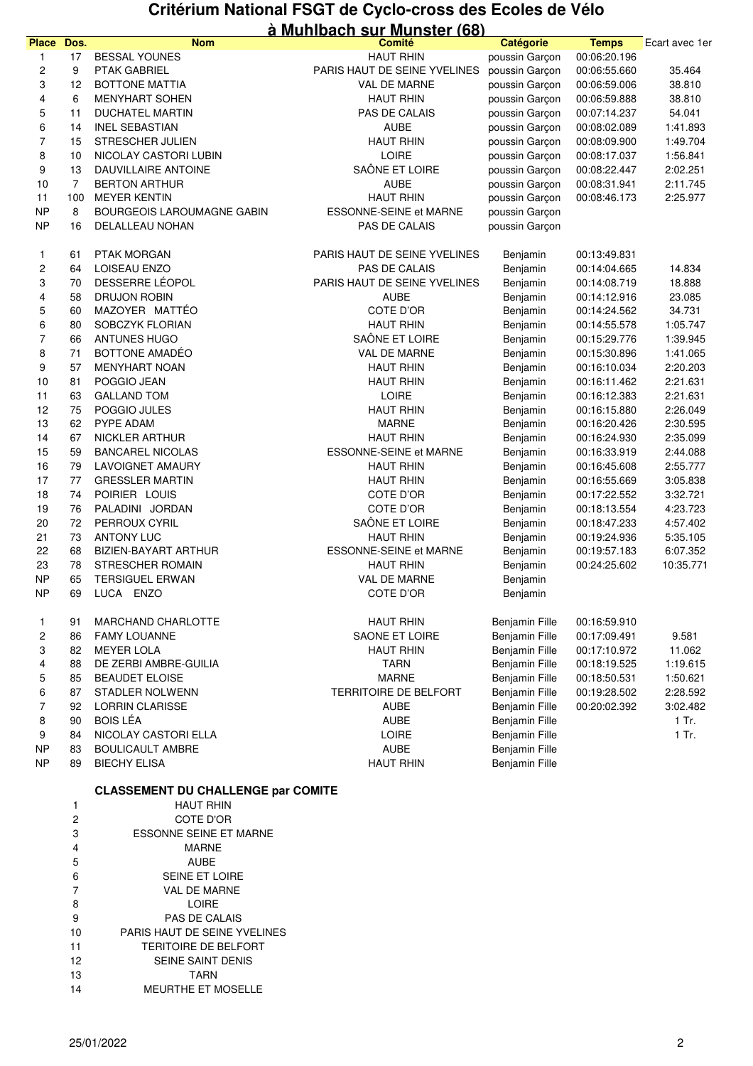### **Critérium National FSGT de Cyclo-cross des Ecoles de Vélo à Muhlbach sur Munster (68)**

|              |                |                                   | <u>a wullivauli sul wulistci (vul</u> |                       |              |                |
|--------------|----------------|-----------------------------------|---------------------------------------|-----------------------|--------------|----------------|
| <b>Place</b> | Dos.           | <b>Nom</b>                        | <b>Comité</b>                         | Catégorie             | <b>Temps</b> | Ecart avec 1er |
| 1            | 17             | <b>BESSAL YOUNES</b>              | <b>HAUT RHIN</b>                      | poussin Garçon        | 00:06:20.196 |                |
| 2            | 9              | PTAK GABRIEL                      | PARIS HAUT DE SEINE YVELINES          | poussin Garçon        | 00:06:55.660 | 35.464         |
| 3            | 12             | <b>BOTTONE MATTIA</b>             | VAL DE MARNE                          | poussin Garçon        | 00:06:59.006 | 38.810         |
| 4            | 6              | <b>MENYHART SOHEN</b>             | <b>HAUT RHIN</b>                      | poussin Garcon        | 00:06:59.888 | 38.810         |
| 5            | 11             | <b>DUCHATEL MARTIN</b>            | <b>PAS DE CALAIS</b>                  | poussin Garçon        | 00:07:14.237 | 54.041         |
| 6            | 14             | <b>INEL SEBASTIAN</b>             | <b>AUBE</b>                           | poussin Garçon        | 00:08:02.089 | 1:41.893       |
| 7            | 15             | STRESCHER JULIEN                  | <b>HAUT RHIN</b>                      | poussin Garcon        | 00:08:09.900 | 1:49.704       |
| 8            | 10             | NICOLAY CASTORI LUBIN             | <b>LOIRE</b>                          | poussin Garçon        | 00:08:17.037 | 1:56.841       |
| 9            | 13             | DAUVILLAIRE ANTOINE               | SAÔNE ET LOIRE                        | poussin Garcon        | 00:08:22.447 | 2:02.251       |
| 10           | $\overline{7}$ | <b>BERTON ARTHUR</b>              | AUBE                                  | poussin Garçon        | 00:08:31.941 | 2:11.745       |
| 11           | 100            | <b>MEYER KENTIN</b>               | <b>HAUT RHIN</b>                      | poussin Garçon        | 00:08:46.173 | 2:25.977       |
| <b>NP</b>    | 8              | <b>BOURGEOIS LAROUMAGNE GABIN</b> | ESSONNE-SEINE et MARNE                | poussin Garcon        |              |                |
| <b>NP</b>    | 16             | DELALLEAU NOHAN                   | PAS DE CALAIS                         | poussin Garcon        |              |                |
|              |                |                                   |                                       |                       |              |                |
| 1            | 61             | PTAK MORGAN                       | PARIS HAUT DE SEINE YVELINES          | Benjamin              | 00:13:49.831 |                |
| 2            | 64             | LOISEAU ENZO                      | PAS DE CALAIS                         | Benjamin              | 00:14:04.665 | 14.834         |
| 3            | 70             | DESSERRE LÉOPOL                   | PARIS HAUT DE SEINE YVELINES          | Benjamin              | 00:14:08.719 | 18.888         |
| 4            | 58             | DRUJON ROBIN                      | <b>AUBE</b>                           | Benjamin              | 00:14:12.916 | 23.085         |
| 5            | 60             | MAZOYER MATTÉO                    | COTE D'OR                             | Benjamin              | 00:14:24.562 | 34.731         |
| 6            | 80             | SOBCZYK FLORIAN                   | <b>HAUT RHIN</b>                      | Benjamin              | 00:14:55.578 | 1:05.747       |
| 7            | 66             | <b>ANTUNES HUGO</b>               | SAÔNE ET LOIRE                        | Benjamin              | 00:15:29.776 | 1:39.945       |
| 8            | 71             | BOTTONE AMADÉO                    | VAL DE MARNE                          | Benjamin              | 00:15:30.896 | 1:41.065       |
| 9            | 57             | <b>MENYHART NOAN</b>              | <b>HAUT RHIN</b>                      | Benjamin              | 00:16:10.034 | 2:20.203       |
| 10           | 81             | POGGIO JEAN                       | <b>HAUT RHIN</b>                      | Benjamin              | 00:16:11.462 | 2:21.631       |
| 11           | 63             | <b>GALLAND TOM</b>                | <b>LOIRE</b>                          | Benjamin              | 00:16:12.383 | 2:21.631       |
| 12           | 75             | POGGIO JULES                      | <b>HAUT RHIN</b>                      | Benjamin              | 00:16:15.880 | 2:26.049       |
| 13           | 62             | PYPE ADAM                         | <b>MARNE</b>                          | Benjamin              | 00:16:20.426 | 2:30.595       |
| 14           | 67             | <b>NICKLER ARTHUR</b>             | <b>HAUT RHIN</b>                      | Benjamin              | 00:16:24.930 | 2:35.099       |
| 15           | 59             | <b>BANCAREL NICOLAS</b>           | <b>ESSONNE-SEINE et MARNE</b>         | Benjamin              | 00:16:33.919 | 2:44.088       |
| 16           | 79             | LAVOIGNET AMAURY                  | <b>HAUT RHIN</b>                      | Benjamin              | 00:16:45.608 | 2:55.777       |
| 17           | 77             | <b>GRESSLER MARTIN</b>            | <b>HAUT RHIN</b>                      | Benjamin              | 00:16:55.669 | 3:05.838       |
| 18           | 74             | POIRIER LOUIS                     | COTE D'OR                             | Benjamin              | 00:17:22.552 | 3:32.721       |
| 19           | 76             | PALADINI JORDAN                   | COTE D'OR                             | Benjamin              | 00:18:13.554 | 4:23.723       |
| 20           | 72             | PERROUX CYRIL                     | SAÔNE ET LOIRE                        | Benjamin              | 00:18:47.233 | 4:57.402       |
| 21           | 73             | <b>ANTONY LUC</b>                 | <b>HAUT RHIN</b>                      | Benjamin              | 00:19:24.936 | 5:35.105       |
| 22           | 68             | BIZIEN-BAYART ARTHUR              | ESSONNE-SEINE et MARNE                | Benjamin              | 00:19:57.183 | 6:07.352       |
| 23           | 78             | STRESCHER ROMAIN                  | <b>HAUT RHIN</b>                      | Benjamin              | 00:24:25.602 | 10:35.771      |
| <b>NP</b>    | 65             | <b>TERSIGUEL ERWAN</b>            | VAL DE MARNE                          | Benjamin              |              |                |
| <b>NP</b>    | 69             | LUCA ENZO                         | <b>COTE D'OR</b>                      | Benjamin              |              |                |
|              |                |                                   |                                       |                       |              |                |
| 1            | 91             | MARCHAND CHARLOTTE                | <b>HAUT RHIN</b>                      | Benjamin Fille        | 00:16:59.910 |                |
| 2            | 86             | <b>FAMY LOUANNE</b>               | SAONE ET LOIRE                        | <b>Benjamin Fille</b> | 00:17:09.491 | 9.581          |
| 3            | 82             | <b>MEYER LOLA</b>                 | <b>HAUT RHIN</b>                      | Benjamin Fille        | 00:17:10.972 | 11.062         |
| 4            | 88             | DE ZERBI AMBRE-GUILIA             | <b>TARN</b>                           | <b>Benjamin Fille</b> | 00:18:19.525 | 1:19.615       |
| 5            | 85             | <b>BEAUDET ELOISE</b>             | <b>MARNE</b>                          | <b>Benjamin Fille</b> | 00:18:50.531 | 1:50.621       |
| 6            | 87             | STADLER NOLWENN                   | TERRITOIRE DE BELFORT                 | Benjamin Fille        | 00:19:28.502 | 2:28.592       |
| 7            | 92             | <b>LORRIN CLARISSE</b>            | <b>AUBE</b>                           | <b>Benjamin Fille</b> | 00:20:02.392 | 3:02.482       |
| 8            | 90             | <b>BOIS LÉA</b>                   | <b>AUBE</b>                           | Benjamin Fille        |              | $1$ Tr.        |
| 9            | 84             | NICOLAY CASTORI ELLA              | <b>LOIRE</b>                          | Benjamin Fille        |              | $1$ Tr.        |
| <b>NP</b>    | 83             | <b>BOULICAULT AMBRE</b>           | <b>AUBE</b>                           | <b>Benjamin Fille</b> |              |                |
| <b>NP</b>    | 89             | <b>BIECHY ELISA</b>               | <b>HAUT RHIN</b>                      | <b>Benjamin Fille</b> |              |                |

### **CLASSEMENT DU CHALLENGE par COMITE**

| 1              | HAUT RHIN                     |
|----------------|-------------------------------|
| 2              | COTE D'OR                     |
| 3              | <b>ESSONNE SEINE ET MARNE</b> |
| 4              | MARNF                         |
| 5              | AUBE                          |
| 6              | <b>SEINE ET LOIRE</b>         |
| $\overline{7}$ | <b>VAL DE MARNE</b>           |
| 8              | LOIRE                         |
| 9              | PAS DE CALAIS                 |
| 10             | PARIS HAUT DE SEINE YVELINES  |
| 11             | TERITOIRE DE BEI FORT         |
| 12             | SEINE SAINT DENIS             |
| 13             | <b>TARN</b>                   |
| 14             | <b>MEURTHE ET MOSELLE</b>     |
|                |                               |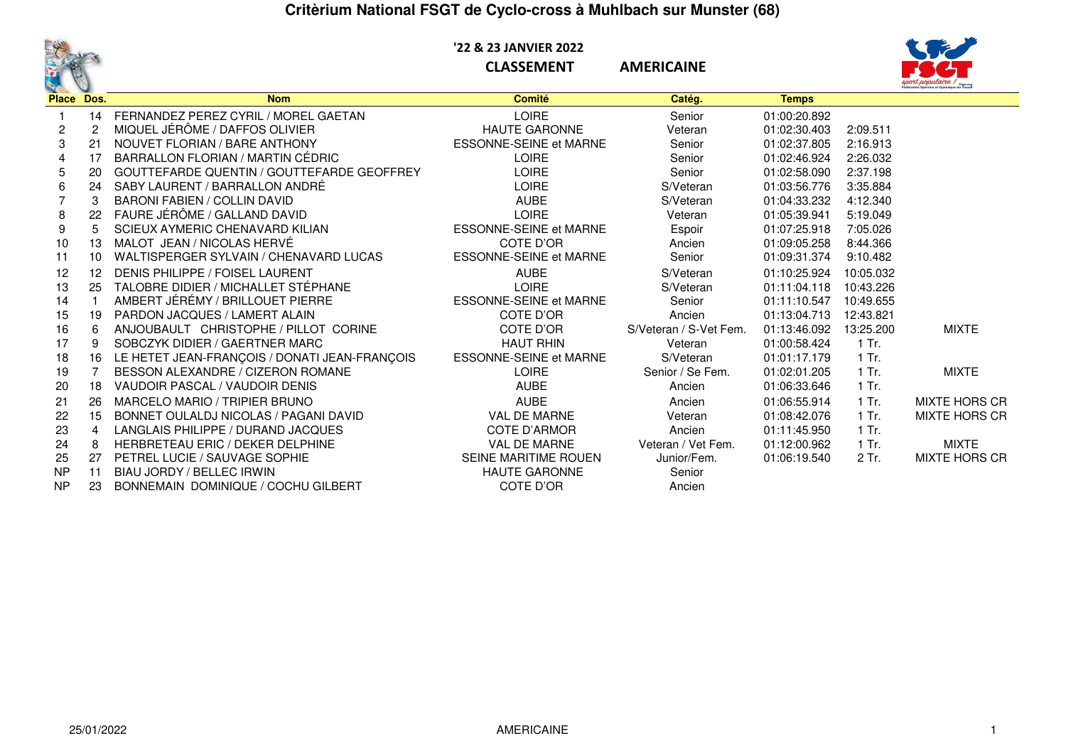## **Critèrium National FSGT de Cyclo-cross à Muhlbach sur Munster (68)**



 **'22 & 23 JANVIER 2022**

**CLASSEMENT AMERICAINE**



| Place Dos. |                | <b>Nom</b>                                    | <b>Comité</b>                 | Catég.                 | <b>Temps</b> |           |                      |
|------------|----------------|-----------------------------------------------|-------------------------------|------------------------|--------------|-----------|----------------------|
|            | 14             | FERNANDEZ PEREZ CYRIL / MOREL GAETAN          | <b>LOIRE</b>                  | Senior                 | 01:00:20.892 |           |                      |
|            | $\overline{c}$ | MIQUEL JÉRÔME / DAFFOS OLIVIER                | <b>HAUTE GARONNE</b>          | Veteran                | 01:02:30.403 | 2:09.511  |                      |
| 3          | 21             | NOUVET FLORIAN / BARE ANTHONY                 | <b>ESSONNE-SEINE et MARNE</b> | Senior                 | 01:02:37.805 | 2:16.913  |                      |
|            | 17             | BARRALLON FLORIAN / MARTIN CÉDRIC             | <b>LOIRE</b>                  | Senior                 | 01:02:46.924 | 2:26.032  |                      |
| 5          | 20             | GOUTTEFARDE QUENTIN / GOUTTEFARDE GEOFFREY    | <b>LOIRE</b>                  | Senior                 | 01:02:58.090 | 2:37.198  |                      |
| 6          | 24             | SABY LAURENT / BARRALLON ANDRÉ                | <b>LOIRE</b>                  | S/Veteran              | 01:03:56.776 | 3:35.884  |                      |
|            | 3              | <b>BARONI FABIEN / COLLIN DAVID</b>           | <b>AUBE</b>                   | S/Veteran              | 01:04:33.232 | 4:12.340  |                      |
| 8          | 22             | FAURE JÉRÔME / GALLAND DAVID                  | <b>LOIRE</b>                  | Veteran                | 01:05:39.941 | 5:19.049  |                      |
| 9          |                | SCIEUX AYMERIC CHENAVARD KILIAN               | <b>ESSONNE-SEINE et MARNE</b> | Espoir                 | 01:07:25.918 | 7:05.026  |                      |
| 10         | 13             | MALOT JEAN / NICOLAS HERVÉ                    | COTE D'OR                     | Ancien                 | 01:09:05.258 | 8:44.366  |                      |
| 11         | 10             | WALTISPERGER SYLVAIN / CHENAVARD LUCAS        | <b>ESSONNE-SEINE et MARNE</b> | Senior                 | 01:09:31.374 | 9:10.482  |                      |
| 12         | 12             | DENIS PHILIPPE / FOISEL LAURENT               | <b>AUBE</b>                   | S/Veteran              | 01:10:25.924 | 10:05.032 |                      |
| 13         | 25             | TALOBRE DIDIER / MICHALLET STÉPHANE           | <b>LOIRE</b>                  | S/Veteran              | 01:11:04.118 | 10:43.226 |                      |
| 14         |                | AMBERT JÉRÉMY / BRILLOUET PIERRE              | <b>ESSONNE-SEINE et MARNE</b> | Senior                 | 01:11:10.547 | 10:49.655 |                      |
| 15         | 19             | PARDON JACQUES / LAMERT ALAIN                 | COTE D'OR                     | Ancien                 | 01:13:04.713 | 12:43.821 |                      |
| 16         | 6              | ANJOUBAULT CHRISTOPHE / PILLOT CORINE         | COTE D'OR                     | S/Veteran / S-Vet Fem. | 01:13:46.092 | 13:25.200 | <b>MIXTE</b>         |
| 17         | 9              | SOBCZYK DIDIER / GAERTNER MARC                | <b>HAUT RHIN</b>              | Veteran                | 01:00:58.424 | 1 Tr.     |                      |
| 18         | 16             | LE HETET JEAN-FRANÇOIS / DONATI JEAN-FRANÇOIS | <b>ESSONNE-SEINE et MARNE</b> | S/Veteran              | 01:01:17.179 | $1$ Tr.   |                      |
| 19         |                | BESSON ALEXANDRE / CIZERON ROMANE             | <b>LOIRE</b>                  | Senior / Se Fem.       | 01:02:01.205 | 1 Tr.     | <b>MIXTE</b>         |
| 20         | 18             | VAUDOIR PASCAL / VAUDOIR DENIS                | <b>AUBE</b>                   | Ancien                 | 01:06:33.646 | 1 Tr.     |                      |
| 21         | 26             | MARCELO MARIO / TRIPIER BRUNO                 | <b>AUBE</b>                   | Ancien                 | 01:06:55.914 | 1 Tr.     | <b>MIXTE HORS CR</b> |
| 22         | 15             | BONNET OULALDJ NICOLAS / PAGANI DAVID         | <b>VAL DE MARNE</b>           | Veteran                | 01:08:42.076 | $1$ Tr.   | <b>MIXTE HORS CR</b> |
| 23         | 4              | LANGLAIS PHILIPPE / DURAND JACQUES            | <b>COTE D'ARMOR</b>           | Ancien                 | 01:11:45.950 | $1$ Tr.   |                      |
| 24         | 8              | <b>HERBRETEAU ERIC / DEKER DELPHINE</b>       | <b>VAL DE MARNE</b>           | Veteran / Vet Fem.     | 01:12:00.962 | 1 Tr.     | <b>MIXTE</b>         |
| 25         | 27             | PETREL LUCIE / SAUVAGE SOPHIE                 | SEINE MARITIME ROUEN          | Junior/Fem.            | 01:06:19.540 | 2 Tr.     | <b>MIXTE HORS CR</b> |
| <b>NP</b>  | 11             | BIAU JORDY / BELLEC IRWIN                     | <b>HAUTE GARONNE</b>          | Senior                 |              |           |                      |
| <b>NP</b>  | 23             | BONNEMAIN DOMINIQUE / COCHU GILBERT           | COTE D'OR                     | Ancien                 |              |           |                      |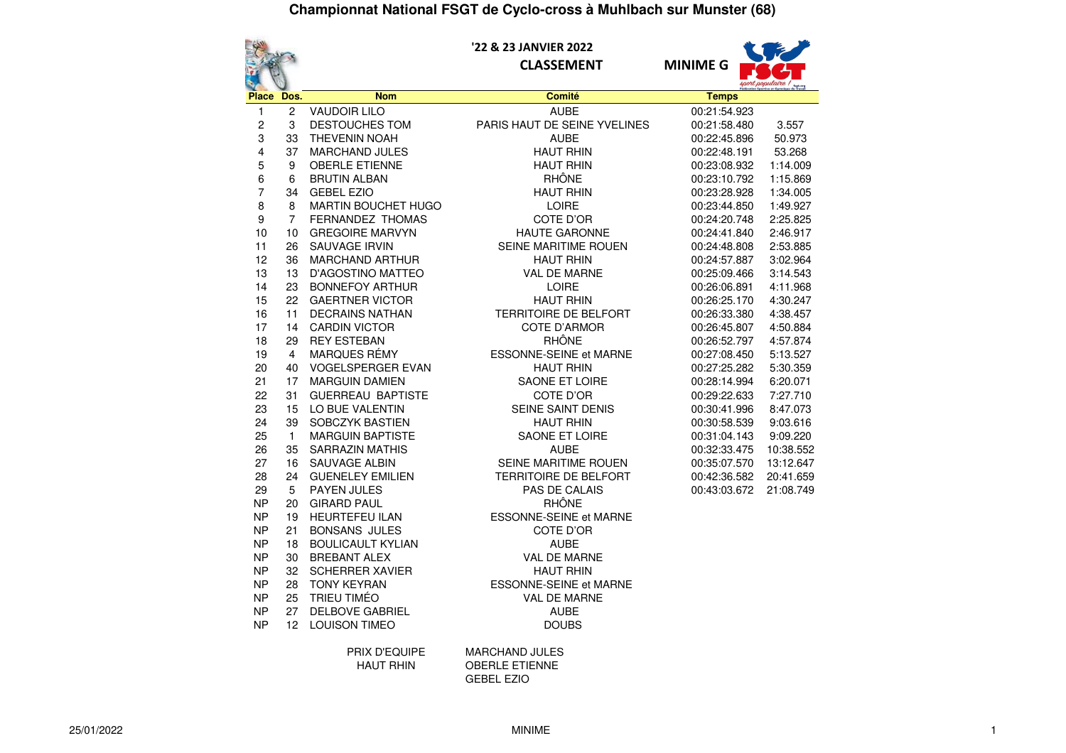

#### **'22 & 23 JANVIER 2022CLASSEMENT MINIME G**



|                        |                |                                                 |                                    | sport populaire ! |           |
|------------------------|----------------|-------------------------------------------------|------------------------------------|-------------------|-----------|
| Place Dos.             |                | <b>Nom</b>                                      | Comité                             | <b>Temps</b>      |           |
| 1                      | $\overline{c}$ | <b>VAUDOIR LILO</b>                             | <b>AUBE</b>                        | 00:21:54.923      |           |
| $\overline{c}$         | 3              | <b>DESTOUCHES TOM</b>                           | PARIS HAUT DE SEINE YVELINES       | 00:21:58.480      | 3.557     |
| 3                      | 33             | THEVENIN NOAH                                   | <b>AUBE</b>                        | 00:22:45.896      | 50.973    |
| 4                      | 37             | <b>MARCHAND JULES</b>                           | <b>HAUT RHIN</b>                   | 00:22:48.191      | 53.268    |
| 5                      | 9              | <b>OBERLE ETIENNE</b>                           | <b>HAUT RHIN</b>                   | 00:23:08.932      | 1:14.009  |
| 6                      | 6              | <b>BRUTIN ALBAN</b>                             | <b>RHÔNE</b>                       | 00:23:10.792      | 1:15.869  |
| $\overline{7}$         | 34             | <b>GEBEL EZIO</b>                               | <b>HAUT RHIN</b>                   | 00:23:28.928      | 1:34.005  |
| 8                      | 8              | MARTIN BOUCHET HUGO                             | <b>LOIRE</b>                       | 00:23:44.850      | 1:49.927  |
| 9                      | $\overline{7}$ | FERNANDEZ THOMAS                                | COTE D'OR                          | 00:24:20.748      | 2:25.825  |
| 10                     | 10             | <b>GREGOIRE MARVYN</b>                          | <b>HAUTE GARONNE</b>               | 00:24:41.840      | 2:46.917  |
| 11                     | 26             | <b>SAUVAGE IRVIN</b>                            | SEINE MARITIME ROUEN               | 00:24:48.808      | 2:53.885  |
| 12                     | 36             | <b>MARCHAND ARTHUR</b>                          | <b>HAUT RHIN</b>                   | 00:24:57.887      | 3:02.964  |
| 13                     | 13             | <b>D'AGOSTINO MATTEO</b>                        | <b>VAL DE MARNE</b>                | 00:25:09.466      | 3:14.543  |
| 14                     | 23             | <b>BONNEFOY ARTHUR</b>                          | <b>LOIRE</b>                       | 00:26:06.891      | 4:11.968  |
| 15                     | 22             | <b>GAERTNER VICTOR</b>                          | <b>HAUT RHIN</b>                   | 00:26:25.170      | 4:30.247  |
| 16                     | 11             | <b>DECRAINS NATHAN</b>                          | <b>TERRITOIRE DE BELFORT</b>       | 00:26:33.380      | 4:38.457  |
| 17                     | 14             | <b>CARDIN VICTOR</b>                            | <b>COTE D'ARMOR</b>                | 00:26:45.807      | 4:50.884  |
| 18                     | 29             | <b>REY ESTEBAN</b>                              | <b>RHÔNE</b>                       | 00:26:52.797      | 4:57.874  |
| 19                     | 4              | MARQUES RÉMY                                    | <b>ESSONNE-SEINE et MARNE</b>      | 00:27:08.450      | 5:13.527  |
| 20                     | 40             | <b>VOGELSPERGER EVAN</b>                        | <b>HAUT RHIN</b>                   | 00:27:25.282      | 5:30.359  |
| 21                     | 17             | <b>MARGUIN DAMIEN</b>                           | <b>SAONE ET LOIRE</b>              | 00:28:14.994      | 6:20.071  |
| 22                     | 31             | <b>GUERREAU BAPTISTE</b>                        | COTE D'OR                          | 00:29:22.633      | 7:27.710  |
| 23                     | 15             | LO BUE VALENTIN                                 | SEINE SAINT DENIS                  | 00:30:41.996      | 8:47.073  |
| 24                     | 39             | <b>SOBCZYK BASTIEN</b>                          | <b>HAUT RHIN</b>                   | 00:30:58.539      | 9:03.616  |
| 25                     | $\mathbf{1}$   | <b>MARGUIN BAPTISTE</b>                         | SAONE ET LOIRE                     | 00:31:04.143      | 9:09.220  |
| 26                     | 35             | <b>SARRAZIN MATHIS</b>                          | <b>AUBE</b>                        | 00:32:33.475      | 10:38.552 |
| 27                     | 16             | <b>SAUVAGE ALBIN</b>                            | SEINE MARITIME ROUEN               | 00:35:07.570      | 13:12.647 |
| 28                     | 24             | <b>GUENELEY EMILIEN</b>                         | <b>TERRITOIRE DE BELFORT</b>       | 00:42:36.582      | 20:41.659 |
| 29                     | 5              | PAYEN JULES                                     | PAS DE CALAIS                      | 00:43:03.672      | 21:08.749 |
| <b>NP</b>              | 20             | <b>GIRARD PAUL</b>                              | <b>RHÔNE</b>                       |                   |           |
| <b>NP</b>              | 19             | <b>HEURTEFEU ILAN</b>                           | <b>ESSONNE-SEINE et MARNE</b>      |                   |           |
| <b>NP</b>              | 21             | <b>BONSANS JULES</b>                            | COTE D'OR                          |                   |           |
| <b>NP</b><br><b>NP</b> | 18<br>30       | <b>BOULICAULT KYLIAN</b><br><b>BREBANT ALEX</b> | <b>AUBE</b><br><b>VAL DE MARNE</b> |                   |           |
| <b>NP</b>              |                | <b>SCHERRER XAVIER</b>                          | <b>HAUT RHIN</b>                   |                   |           |
| NP                     | 32<br>28       | <b>TONY KEYRAN</b>                              | <b>ESSONNE-SEINE et MARNE</b>      |                   |           |
|                        |                | <b>TRIEU TIMÉO</b>                              |                                    |                   |           |
| <b>NP</b><br><b>NP</b> | 25<br>27       | <b>DELBOVE GABRIEL</b>                          | <b>VAL DE MARNE</b><br><b>AUBE</b> |                   |           |
| <b>NP</b>              | 12             | <b>LOUISON TIMEO</b>                            |                                    |                   |           |
|                        |                |                                                 | <b>DOUBS</b>                       |                   |           |
|                        |                | <b>PRIX D'EQUIPE</b>                            | <b>MARCHAND JULES</b>              |                   |           |

 HAUT RHIN OBERLE ETIENNEGEBEL EZIO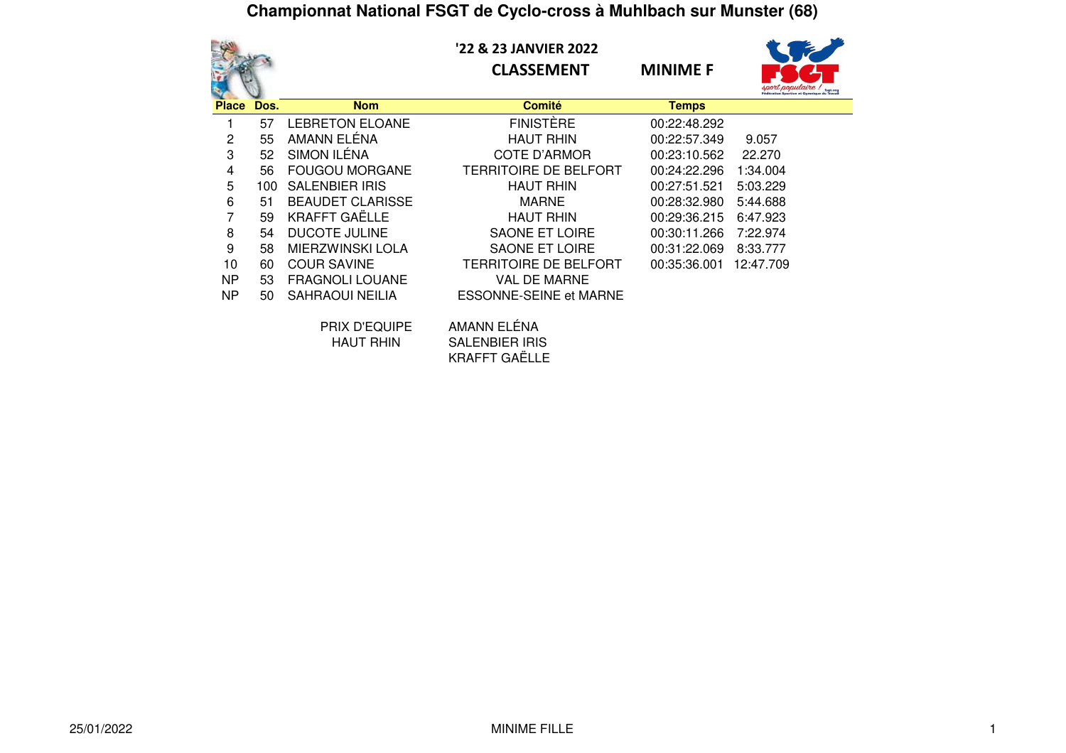|              |      |                         | '22 & 23 JANVIER 2022<br><b>CLASSEMENT</b> | <b>MINIME F</b> |           |
|--------------|------|-------------------------|--------------------------------------------|-----------------|-----------|
| <b>Place</b> | Dos. | <b>Nom</b>              | <b>Comité</b>                              | <b>Temps</b>    |           |
|              | 57   | <b>LEBRETON ELOANE</b>  | <b>FINISTÈRE</b>                           | 00:22:48.292    |           |
| 2            | 55   | AMANN ELÉNA             | <b>HAUT RHIN</b>                           | 00:22:57.349    | 9.057     |
| 3            | 52   | SIMON ILÉNA             | COTE D'ARMOR                               | 00:23:10.562    | 22.270    |
| 4            | 56   | <b>FOUGOU MORGANE</b>   | TERRITOIRE DE BELFORT                      | 00:24:22.296    | 1:34.004  |
| 5            | 100  | <b>SALENBIER IRIS</b>   | <b>HAUT RHIN</b>                           | 00:27:51.521    | 5:03.229  |
| 6            | 51   | <b>BEAUDET CLARISSE</b> | <b>MARNE</b>                               | 00:28:32.980    | 5:44.688  |
| 7            | 59   | <b>KRAFFT GAËLLE</b>    | <b>HAUT RHIN</b>                           | 00:29:36.215    | 6:47.923  |
| 8            | 54   | <b>DUCOTE JULINE</b>    | <b>SAONE ET LOIRE</b>                      | 00:30:11.266    | 7:22.974  |
| 9            | 58   | <b>MIERZWINSKI LOLA</b> | SAONE ET LOIRE                             | 00:31:22.069    | 8:33.777  |
| 10           | 60   | <b>COUR SAVINE</b>      | TERRITOIRE DE BELFORT                      | 00:35:36.001    | 12:47.709 |
| <b>NP</b>    | 53   | <b>FRAGNOLI LOUANE</b>  | <b>VAL DE MARNE</b>                        |                 |           |
| <b>NP</b>    | 50   | <b>SAHRAOUI NEILIA</b>  | <b>ESSONNE-SEINE et MARNE</b>              |                 |           |
|              |      | <b>BBU/BEAUDE</b>       | . . <i>.</i>                               |                 |           |

| PRIX D'EQUIPE | AMANN ELÉNA           |
|---------------|-----------------------|
| HAUT RHIN     | <b>SALENBIER IRIS</b> |
|               | <b>KRAFFT GAËLLE</b>  |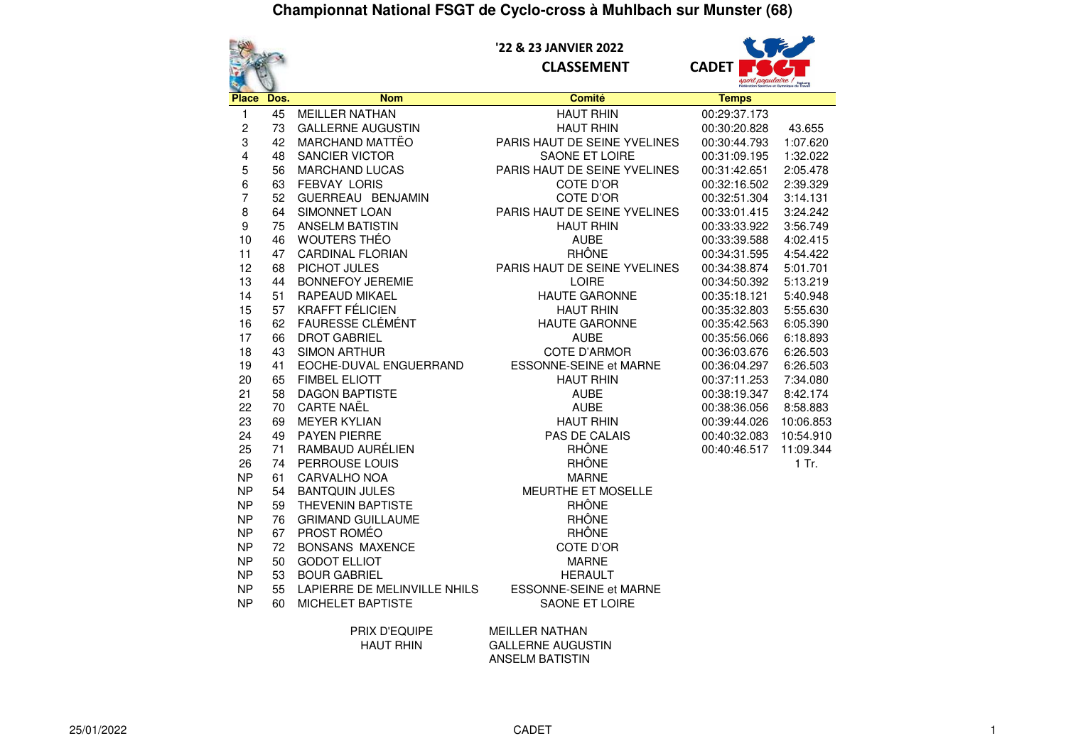

 **'22 & 23 JANVIER 2022CLASSEMENT CADET**



| $\mathbf{S}_{\mathbf{C}}$ |      |                              |                              | fegt.org federation Sportive et Gymnique du Travai |           |
|---------------------------|------|------------------------------|------------------------------|----------------------------------------------------|-----------|
| <b>Place</b>              | Dos. | <b>Nom</b>                   | <b>Comité</b>                | <b>Temps</b>                                       |           |
| 1                         | 45   | <b>MEILLER NATHAN</b>        | <b>HAUT RHIN</b>             | 00:29:37.173                                       |           |
| 2                         | 73   | <b>GALLERNE AUGUSTIN</b>     | <b>HAUT RHIN</b>             | 00:30:20.828                                       | 43.655    |
| 3                         | 42   | MARCHAND MATTËO              | PARIS HAUT DE SEINE YVELINES | 00:30:44.793                                       | 1:07.620  |
| 4                         | 48   | <b>SANCIER VICTOR</b>        | SAONE ET LOIRE               | 00:31:09.195                                       | 1:32.022  |
| 5                         | 56   | <b>MARCHAND LUCAS</b>        | PARIS HAUT DE SEINE YVELINES | 00:31:42.651                                       | 2:05.478  |
| 6                         | 63   | <b>FEBVAY LORIS</b>          | COTE D'OR                    | 00:32:16.502                                       | 2:39.329  |
| 7                         | 52   | GUERREAU BENJAMIN            | COTE D'OR                    | 00:32:51.304                                       | 3:14.131  |
| 8                         | 64   | SIMONNET LOAN                | PARIS HAUT DE SEINE YVELINES | 00:33:01.415                                       | 3:24.242  |
| 9                         | 75   | <b>ANSELM BATISTIN</b>       | <b>HAUT RHIN</b>             | 00:33:33.922                                       | 3:56.749  |
| 10                        | 46   | WOUTERS THÉO                 | <b>AUBE</b>                  | 00:33:39.588                                       | 4:02.415  |
| 11                        | 47   | <b>CARDINAL FLORIAN</b>      | <b>RHÔNE</b>                 | 00:34:31.595                                       | 4:54.422  |
| 12                        | 68   | PICHOT JULES                 | PARIS HAUT DE SEINE YVELINES | 00:34:38.874                                       | 5:01.701  |
| 13                        | 44   | <b>BONNEFOY JEREMIE</b>      | LOIRE                        | 00:34:50.392                                       | 5:13.219  |
| 14                        | 51   | RAPEAUD MIKAEL               | <b>HAUTE GARONNE</b>         | 00:35:18.121                                       | 5:40.948  |
| 15                        | 57   | <b>KRAFFT FÉLICIEN</b>       | <b>HAUT RHIN</b>             | 00:35:32.803                                       | 5:55.630  |
| 16                        | 62   | FAURESSE CLÉMÉNT             | <b>HAUTE GARONNE</b>         | 00:35:42.563                                       | 6:05.390  |
| 17                        | 66   | <b>DROT GABRIEL</b>          | <b>AUBE</b>                  | 00:35:56.066                                       | 6:18.893  |
| 18                        | 43   | <b>SIMON ARTHUR</b>          | <b>COTE D'ARMOR</b>          | 00:36:03.676                                       | 6:26.503  |
| 19                        | 41   | EOCHE-DUVAL ENGUERRAND       | ESSONNE-SEINE et MARNE       | 00:36:04.297                                       | 6:26.503  |
| 20                        | 65   | <b>FIMBEL ELIOTT</b>         | <b>HAUT RHIN</b>             | 00:37:11.253                                       | 7:34.080  |
| 21                        | 58   | <b>DAGON BAPTISTE</b>        | <b>AUBE</b>                  | 00:38:19.347                                       | 8:42.174  |
| 22                        | 70   | <b>CARTE NAËL</b>            | <b>AUBE</b>                  | 00:38:36.056                                       | 8:58.883  |
| 23                        | 69   | <b>MEYER KYLIAN</b>          | <b>HAUT RHIN</b>             | 00:39:44.026                                       | 10:06.853 |
| 24                        | 49   | <b>PAYEN PIERRE</b>          | PAS DE CALAIS                | 00:40:32.083                                       | 10:54.910 |
| 25                        | 71   | RAMBAUD AURÉLIEN             | <b>RHÔNE</b>                 | 00:40:46.517                                       | 11:09.344 |
| 26                        | 74   | PERROUSE LOUIS               | <b>RHÔNE</b>                 |                                                    | 1 Tr.     |
| <b>NP</b>                 | 61   | CARVALHO NOA                 | <b>MARNE</b>                 |                                                    |           |
| <b>NP</b>                 | 54   | <b>BANTQUIN JULES</b>        | MEURTHE ET MOSELLE           |                                                    |           |
| <b>NP</b>                 | 59   | <b>THEVENIN BAPTISTE</b>     | <b>RHÔNE</b>                 |                                                    |           |
| <b>NP</b>                 | 76   | <b>GRIMAND GUILLAUME</b>     | <b>RHÔNE</b>                 |                                                    |           |
| <b>NP</b>                 | 67   | PROST ROMÉO                  | <b>RHÔNE</b>                 |                                                    |           |
| <b>NP</b>                 | 72   | <b>BONSANS MAXENCE</b>       | COTE D'OR                    |                                                    |           |
| <b>NP</b>                 | 50   | <b>GODOT ELLIOT</b>          | <b>MARNE</b>                 |                                                    |           |
| <b>NP</b>                 | 53   | <b>BOUR GABRIEL</b>          | <b>HERAULT</b>               |                                                    |           |
| <b>NP</b>                 | 55   | LAPIERRE DE MELINVILLE NHILS | ESSONNE-SEINE et MARNE       |                                                    |           |
| <b>NP</b>                 | 60   | MICHELET BAPTISTE            | SAONE ET LOIRE               |                                                    |           |
|                           |      | PRIX D'EQUIPE                | <b>MEILLER NATHAN</b>        |                                                    |           |

PRIX D'EQUIPE MEILLER NATHAN HAUT RHIN GALLERNE AUGUSTIN ANSELM BATISTIN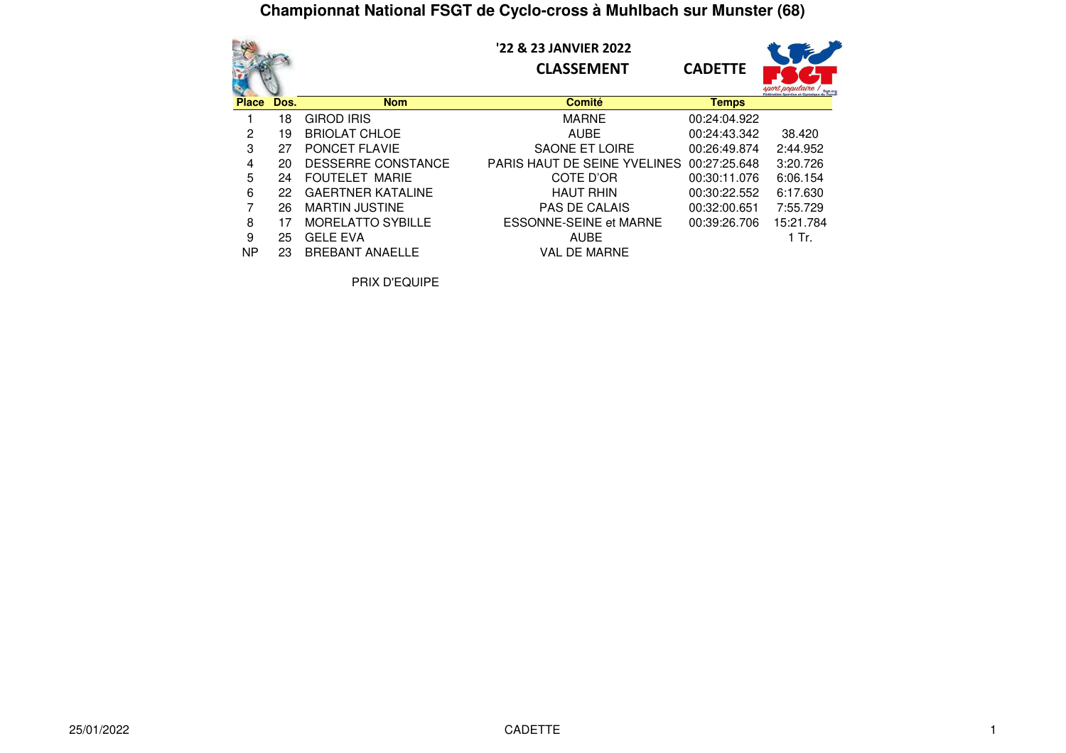|              |      | '22 & 23 JANVIER 2022<br><b>CADETTE</b><br><b>CLASSEMENT</b><br>rort populaire |                               |              |           |  |
|--------------|------|--------------------------------------------------------------------------------|-------------------------------|--------------|-----------|--|
| <b>Place</b> | Dos. | <b>Nom</b>                                                                     | <b>Comité</b>                 | <b>Temps</b> |           |  |
|              | 18   | <b>GIROD IRIS</b>                                                              | <b>MARNE</b>                  | 00:24:04.922 |           |  |
| 2            | 19   | <b>BRIOLAT CHLOE</b>                                                           | <b>AUBE</b>                   | 00:24:43.342 | 38.420    |  |
| 3            | 27   | <b>PONCET FLAVIE</b>                                                           | <b>SAONE ET LOIRE</b>         | 00:26:49.874 | 2:44.952  |  |
| 4            | 20   | DESSERRE CONSTANCE                                                             | PARIS HAUT DE SEINE YVELINES  | 00:27:25.648 | 3:20.726  |  |
| 5            | 24   | FOUTELET MARIE                                                                 | COTE D'OR                     | 00:30:11.076 | 6:06.154  |  |
| 6            | 22   | <b>GAERTNER KATALINE</b>                                                       | <b>HAUT RHIN</b>              | 00:30:22.552 | 6:17.630  |  |
| 7            | 26   | <b>MARTIN JUSTINE</b>                                                          | <b>PAS DE CALAIS</b>          | 00:32:00.651 | 7:55.729  |  |
| 8            | 17   | <b>MORELATTO SYBILLE</b>                                                       | <b>ESSONNE-SEINE et MARNE</b> | 00:39:26.706 | 15:21.784 |  |
| 9            | 25   | <b>GELE EVA</b>                                                                | <b>AUBE</b>                   |              | 1 Tr.     |  |
| <b>NP</b>    | 23   | <b>BREBANT ANAELLE</b>                                                         | <b>VAL DE MARNE</b>           |              |           |  |

PRIX D'EQUIPE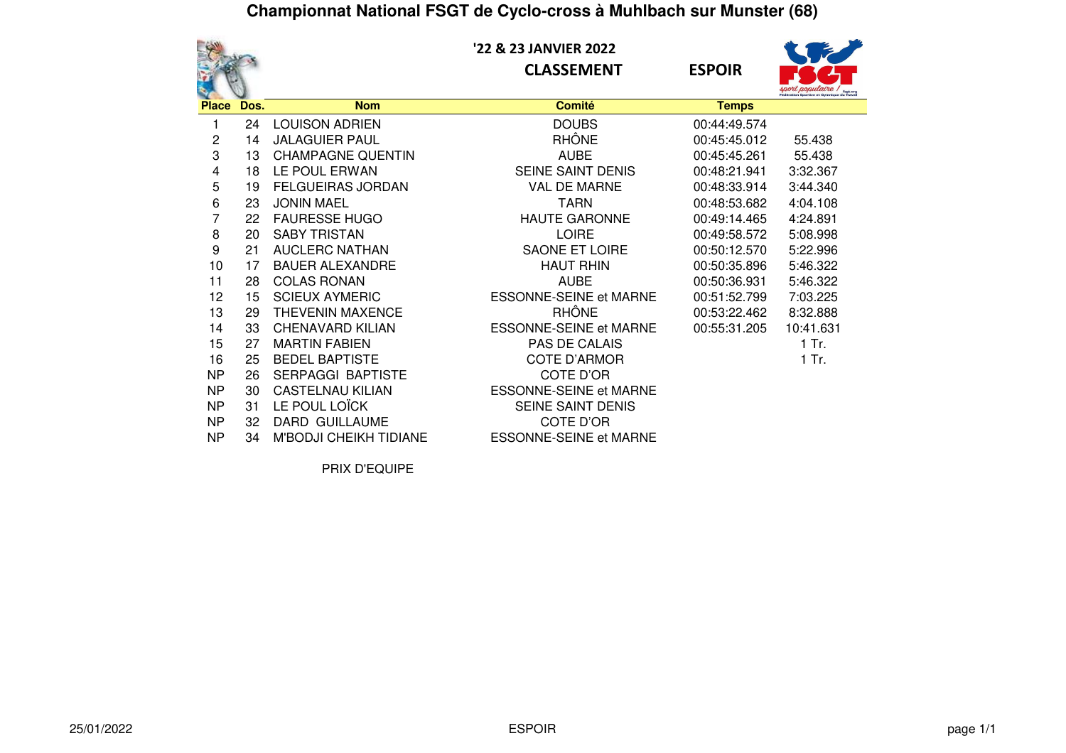**'22 & 23 JANVIER 2022CLASSEMENT ESPOIR**



|              |      |                               |                               |              | <b>sport populaire</b> / the |
|--------------|------|-------------------------------|-------------------------------|--------------|------------------------------|
| <b>Place</b> | Dos. | <b>Nom</b>                    | <b>Comité</b>                 | <b>Temps</b> |                              |
|              | 24   | <b>LOUISON ADRIEN</b>         | <b>DOUBS</b>                  | 00:44:49.574 |                              |
| 2            | 14   | <b>JALAGUIER PAUL</b>         | <b>RHÔNE</b>                  | 00:45:45.012 | 55.438                       |
| 3            | 13   | <b>CHAMPAGNE QUENTIN</b>      | <b>AUBE</b>                   | 00:45:45.261 | 55.438                       |
| 4            | 18   | LE POUL ERWAN                 | SEINE SAINT DENIS             | 00:48:21.941 | 3:32.367                     |
| 5            | 19   | <b>FELGUEIRAS JORDAN</b>      | <b>VAL DE MARNE</b>           | 00:48:33.914 | 3:44.340                     |
| 6            | 23   | <b>JONIN MAEL</b>             | TARN                          | 00:48:53.682 | 4:04.108                     |
| 7            | 22   | <b>FAURESSE HUGO</b>          | <b>HAUTE GARONNE</b>          | 00:49:14.465 | 4:24.891                     |
| 8            | 20   | <b>SABY TRISTAN</b>           | <b>LOIRE</b>                  | 00:49:58.572 | 5:08.998                     |
| 9            | 21   | <b>AUCLERC NATHAN</b>         | <b>SAONE ET LOIRE</b>         | 00:50:12.570 | 5:22.996                     |
| 10           | 17   | <b>BAUER ALEXANDRE</b>        | <b>HAUT RHIN</b>              | 00:50:35.896 | 5:46.322                     |
| 11           | 28   | <b>COLAS RONAN</b>            | <b>AUBE</b>                   | 00:50:36.931 | 5:46.322                     |
| 12           | 15   | <b>SCIEUX AYMERIC</b>         | <b>ESSONNE-SEINE et MARNE</b> | 00:51:52.799 | 7:03.225                     |
| 13           | 29   | THEVENIN MAXENCE              | <b>RHÔNE</b>                  | 00:53:22.462 | 8:32.888                     |
| 14           | 33   | <b>CHENAVARD KILIAN</b>       | <b>ESSONNE-SEINE et MARNE</b> | 00:55:31.205 | 10:41.631                    |
| 15           | 27   | <b>MARTIN FABIEN</b>          | PAS DE CALAIS                 |              | $1$ Tr.                      |
| 16           | 25   | <b>BEDEL BAPTISTE</b>         | <b>COTE D'ARMOR</b>           |              | 1 Tr.                        |
| <b>NP</b>    | 26   | <b>SERPAGGI BAPTISTE</b>      | COTE D'OR                     |              |                              |
| <b>NP</b>    | 30   | <b>CASTELNAU KILIAN</b>       | <b>ESSONNE-SEINE et MARNE</b> |              |                              |
| <b>NP</b>    | 31   | LE POUL LOÏCK                 | SEINE SAINT DENIS             |              |                              |
| <b>NP</b>    | 32   | DARD GUILLAUME                | COTE D'OR                     |              |                              |
| <b>NP</b>    | 34   | <b>M'BODJI CHEIKH TIDIANE</b> | <b>ESSONNE-SEINE et MARNE</b> |              |                              |

PRIX D'EQUIPE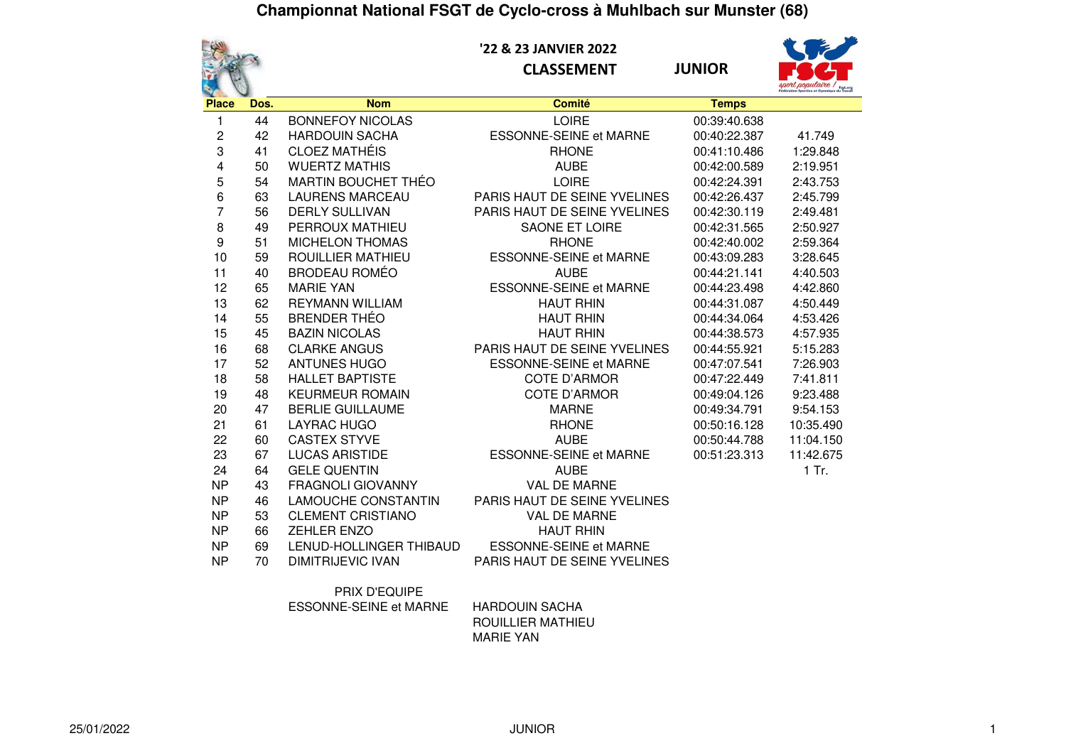

 **'22 & 23 JANVIER 2022CLASSEMENT JUNIOR**



|                  |      |                            |                               |              | sport populaire ! |
|------------------|------|----------------------------|-------------------------------|--------------|-------------------|
| <b>Place</b>     | Dos. | <b>Nom</b>                 | <b>Comité</b>                 | <b>Temps</b> |                   |
| 1                | 44   | <b>BONNEFOY NICOLAS</b>    | <b>LOIRE</b>                  | 00:39:40.638 |                   |
| $\boldsymbol{2}$ | 42   | <b>HARDOUIN SACHA</b>      | <b>ESSONNE-SEINE et MARNE</b> | 00:40:22.387 | 41.749            |
| 3                | 41   | <b>CLOEZ MATHÉIS</b>       | <b>RHONE</b>                  | 00:41:10.486 | 1:29.848          |
| 4                | 50   | <b>WUERTZ MATHIS</b>       | <b>AUBE</b>                   | 00:42:00.589 | 2:19.951          |
| 5                | 54   | <b>MARTIN BOUCHET THÉO</b> | <b>LOIRE</b>                  | 00:42:24.391 | 2:43.753          |
| 6                | 63   | <b>LAURENS MARCEAU</b>     | PARIS HAUT DE SEINE YVELINES  | 00:42:26.437 | 2:45.799          |
| $\overline{7}$   | 56   | <b>DERLY SULLIVAN</b>      | PARIS HAUT DE SEINE YVELINES  | 00:42:30.119 | 2:49.481          |
| 8                | 49   | PERROUX MATHIEU            | <b>SAONE ET LOIRE</b>         | 00:42:31.565 | 2:50.927          |
| $\boldsymbol{9}$ | 51   | <b>MICHELON THOMAS</b>     | <b>RHONE</b>                  | 00:42:40.002 | 2:59.364          |
| 10               | 59   | <b>ROUILLIER MATHIEU</b>   | <b>ESSONNE-SEINE et MARNE</b> | 00:43:09.283 | 3:28.645          |
| 11               | 40   | <b>BRODEAU ROMÉO</b>       | <b>AUBE</b>                   | 00:44:21.141 | 4:40.503          |
| 12               | 65   | <b>MARIE YAN</b>           | <b>ESSONNE-SEINE et MARNE</b> | 00:44:23.498 | 4:42.860          |
| 13               | 62   | <b>REYMANN WILLIAM</b>     | <b>HAUT RHIN</b>              | 00:44:31.087 | 4:50.449          |
| 14               | 55   | <b>BRENDER THÉO</b>        | <b>HAUT RHIN</b>              | 00:44:34.064 | 4:53.426          |
| 15               | 45   | <b>BAZIN NICOLAS</b>       | <b>HAUT RHIN</b>              | 00:44:38.573 | 4:57.935          |
| 16               | 68   | <b>CLARKE ANGUS</b>        | PARIS HAUT DE SEINE YVELINES  | 00:44:55.921 | 5:15.283          |
| 17               | 52   | <b>ANTUNES HUGO</b>        | <b>ESSONNE-SEINE et MARNE</b> | 00:47:07.541 | 7:26.903          |
| 18               | 58   | <b>HALLET BAPTISTE</b>     | <b>COTE D'ARMOR</b>           | 00:47:22.449 | 7:41.811          |
| 19               | 48   | <b>KEURMEUR ROMAIN</b>     | <b>COTE D'ARMOR</b>           | 00:49:04.126 | 9:23.488          |
| 20               | 47   | <b>BERLIE GUILLAUME</b>    | <b>MARNE</b>                  | 00:49:34.791 | 9:54.153          |
| 21               | 61   | <b>LAYRAC HUGO</b>         | <b>RHONE</b>                  | 00:50:16.128 | 10:35.490         |
| 22               | 60   | <b>CASTEX STYVE</b>        | <b>AUBE</b>                   | 00:50:44.788 | 11:04.150         |
| 23               | 67   | <b>LUCAS ARISTIDE</b>      | <b>ESSONNE-SEINE et MARNE</b> | 00:51:23.313 | 11:42.675         |
| 24               | 64   | <b>GELE QUENTIN</b>        | <b>AUBE</b>                   |              | $1$ Tr.           |
| <b>NP</b>        | 43   | <b>FRAGNOLI GIOVANNY</b>   | <b>VAL DE MARNE</b>           |              |                   |
| <b>NP</b>        | 46   | <b>LAMOUCHE CONSTANTIN</b> | PARIS HAUT DE SEINE YVELINES  |              |                   |
| <b>NP</b>        | 53   | <b>CLEMENT CRISTIANO</b>   | VAL DE MARNE                  |              |                   |
| <b>NP</b>        | 66   | <b>ZEHLER ENZO</b>         | <b>HAUT RHIN</b>              |              |                   |
| <b>NP</b>        | 69   | LENUD-HOLLINGER THIBAUD    | <b>ESSONNE-SEINE et MARNE</b> |              |                   |
| <b>NP</b>        | 70   | <b>DIMITRIJEVIC IVAN</b>   | PARIS HAUT DE SEINE YVELINES  |              |                   |
|                  |      |                            |                               |              |                   |

PRIX D'EQUIPE

ESSONNE-SEINE et MARNE HARDOUIN SACHA

 ROUILLIER MATHIEUMARIE YAN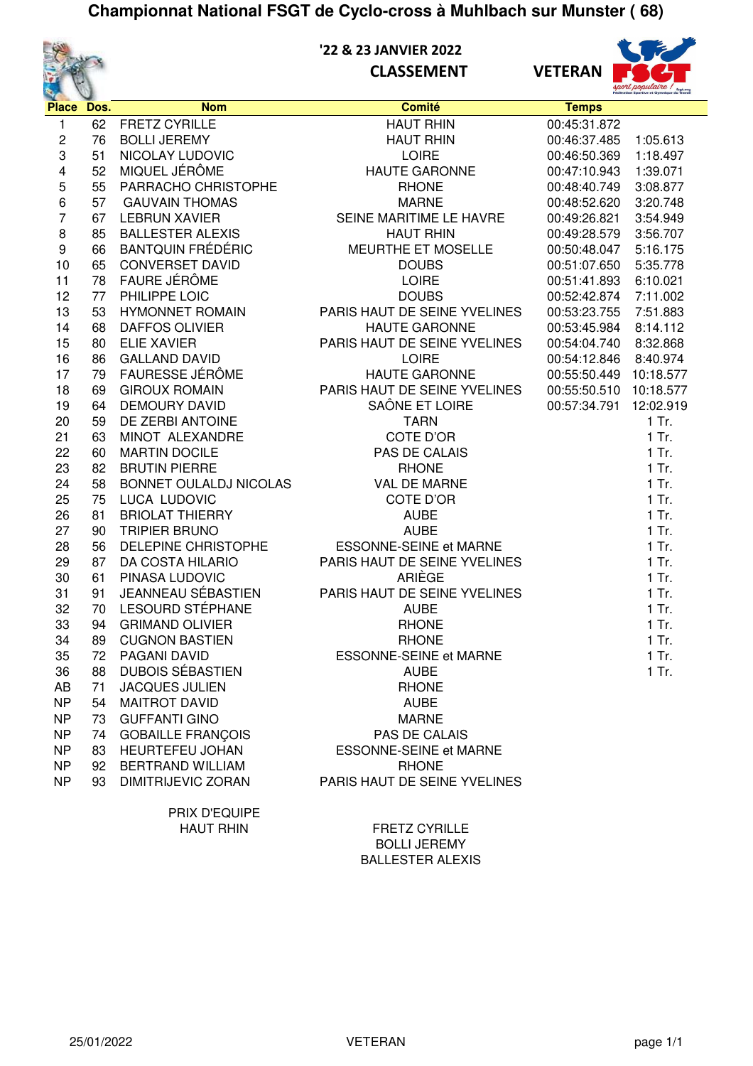

### **'22 & 23 JANVIER 2022 CLASSEMENT VETERAN**



| Place Dos.              |          | <b>Nom</b>                                    | <b>Comité</b>                                  | <b>Temps</b> |           |
|-------------------------|----------|-----------------------------------------------|------------------------------------------------|--------------|-----------|
| $\mathbf{1}$            | 62       | <b>FRETZ CYRILLE</b>                          | <b>HAUT RHIN</b>                               | 00:45:31.872 |           |
| $\overline{\mathbf{c}}$ | 76       | <b>BOLLI JEREMY</b>                           | <b>HAUT RHIN</b>                               | 00:46:37.485 | 1:05.613  |
| 3                       | 51       | NICOLAY LUDOVIC                               | <b>LOIRE</b>                                   | 00:46:50.369 | 1:18.497  |
| 4                       | 52       | MIQUEL JÉRÔME                                 | <b>HAUTE GARONNE</b>                           | 00:47:10.943 | 1:39.071  |
| 5                       | 55       | PARRACHO CHRISTOPHE                           | <b>RHONE</b>                                   | 00:48:40.749 | 3:08.877  |
| 6                       | 57       | <b>GAUVAIN THOMAS</b>                         | <b>MARNE</b>                                   | 00:48:52.620 | 3:20.748  |
| $\overline{7}$          | 67       | <b>LEBRUN XAVIER</b>                          | SEINE MARITIME LE HAVRE                        | 00:49:26.821 | 3:54.949  |
| 8                       | 85       | <b>BALLESTER ALEXIS</b>                       | <b>HAUT RHIN</b>                               | 00:49:28.579 | 3:56.707  |
| $\boldsymbol{9}$        | 66       | <b>BANTQUIN FRÉDÉRIC</b>                      | <b>MEURTHE ET MOSELLE</b>                      | 00:50:48.047 | 5:16.175  |
| 10                      | 65       | <b>CONVERSET DAVID</b>                        | <b>DOUBS</b>                                   | 00:51:07.650 | 5:35.778  |
| 11                      | 78       | FAURE JÉRÔME                                  | <b>LOIRE</b>                                   | 00:51:41.893 | 6:10.021  |
| 12                      | 77       | PHILIPPE LOIC                                 | <b>DOUBS</b>                                   | 00:52:42.874 | 7:11.002  |
| 13                      | 53       | <b>HYMONNET ROMAIN</b>                        | PARIS HAUT DE SEINE YVELINES                   | 00:53:23.755 | 7:51.883  |
| 14                      | 68       | <b>DAFFOS OLIVIER</b>                         | <b>HAUTE GARONNE</b>                           | 00:53:45.984 | 8:14.112  |
| 15                      | 80       | <b>ELIE XAVIER</b>                            | PARIS HAUT DE SEINE YVELINES                   | 00:54:04.740 | 8:32.868  |
| 16                      | 86       | <b>GALLAND DAVID</b>                          | <b>LOIRE</b>                                   | 00:54:12.846 | 8:40.974  |
| 17                      | 79       | FAURESSE JÉRÔME                               | <b>HAUTE GARONNE</b>                           | 00:55:50.449 | 10:18.577 |
| 18                      | 69       | <b>GIROUX ROMAIN</b>                          | PARIS HAUT DE SEINE YVELINES                   | 00:55:50.510 | 10:18.577 |
| 19                      | 64       | <b>DEMOURY DAVID</b>                          | SAÔNE ET LOIRE                                 | 00:57:34.791 | 12:02.919 |
| 20                      | 59       | DE ZERBI ANTOINE                              | <b>TARN</b>                                    |              | 1 Tr.     |
| 21                      | 63       | MINOT ALEXANDRE                               | COTE D'OR                                      |              | $1$ Tr.   |
| 22                      | 60       | <b>MARTIN DOCILE</b>                          | PAS DE CALAIS                                  |              | $1$ Tr.   |
| 23                      | 82       | <b>BRUTIN PIERRE</b>                          | <b>RHONE</b>                                   |              | $1$ Tr.   |
| 24                      | 58       | BONNET OULALDJ NICOLAS                        | VAL DE MARNE                                   |              | $1$ Tr.   |
| 25                      | 75       | LUCA LUDOVIC                                  | COTE D'OR                                      |              | $1$ Tr.   |
| 26                      | 81       | <b>BRIOLAT THIERRY</b>                        | <b>AUBE</b>                                    |              | $1$ Tr.   |
| 27                      | 90       | <b>TRIPIER BRUNO</b>                          | <b>AUBE</b>                                    |              | $1$ Tr.   |
| 28                      | 56       | DELEPINE CHRISTOPHE                           | ESSONNE-SEINE et MARNE                         |              | $1$ Tr.   |
| 29                      | 87       | DA COSTA HILARIO                              | PARIS HAUT DE SEINE YVELINES                   |              | $1$ Tr.   |
| 30                      | 61       | PINASA LUDOVIC                                | ARIÈGE                                         |              | $1$ Tr.   |
| 31                      | 91       | <b>JEANNEAU SÉBASTIEN</b>                     | PARIS HAUT DE SEINE YVELINES                   |              | $1$ Tr.   |
| 32                      | 70       | LESOURD STÉPHANE                              | <b>AUBE</b>                                    |              | $1$ Tr.   |
| 33                      | 94       | <b>GRIMAND OLIVIER</b>                        | <b>RHONE</b>                                   |              | $1$ Tr.   |
| 34                      | 89       | <b>CUGNON BASTIEN</b>                         | <b>RHONE</b>                                   |              | $1$ Tr.   |
| 35                      | 72       | PAGANI DAVID                                  | <b>ESSONNE-SEINE et MARNE</b>                  |              | $1$ Tr.   |
| 36                      | 88       | <b>DUBOIS SÉBASTIEN</b>                       | <b>AUBE</b>                                    |              | $1$ Tr.   |
| AB                      | 71       | <b>JACQUES JULIEN</b>                         | <b>RHONE</b>                                   |              |           |
| <b>NP</b>               | 54       | <b>MAITROT DAVID</b>                          | <b>AUBE</b>                                    |              |           |
| <b>NP</b>               | 73       | <b>GUFFANTI GINO</b>                          | <b>MARNE</b>                                   |              |           |
| <b>NP</b>               | 74       | <b>GOBAILLE FRANÇOIS</b>                      | PAS DE CALAIS<br><b>ESSONNE-SEINE et MARNE</b> |              |           |
| <b>NP</b>               | 83       | HEURTEFEU JOHAN                               | <b>RHONE</b>                                   |              |           |
| NP<br><b>NP</b>         | 92<br>93 | <b>BERTRAND WILLIAM</b><br>DIMITRIJEVIC ZORAN | PARIS HAUT DE SEINE YVELINES                   |              |           |
|                         |          |                                               |                                                |              |           |
|                         |          | <b>סמוו וחסים עוסם</b>                        |                                                |              |           |

PRIX D'EQUIPE

HAUT RHIN FRETZ CYRILLE BOLLI JEREMY BALLESTER ALEXIS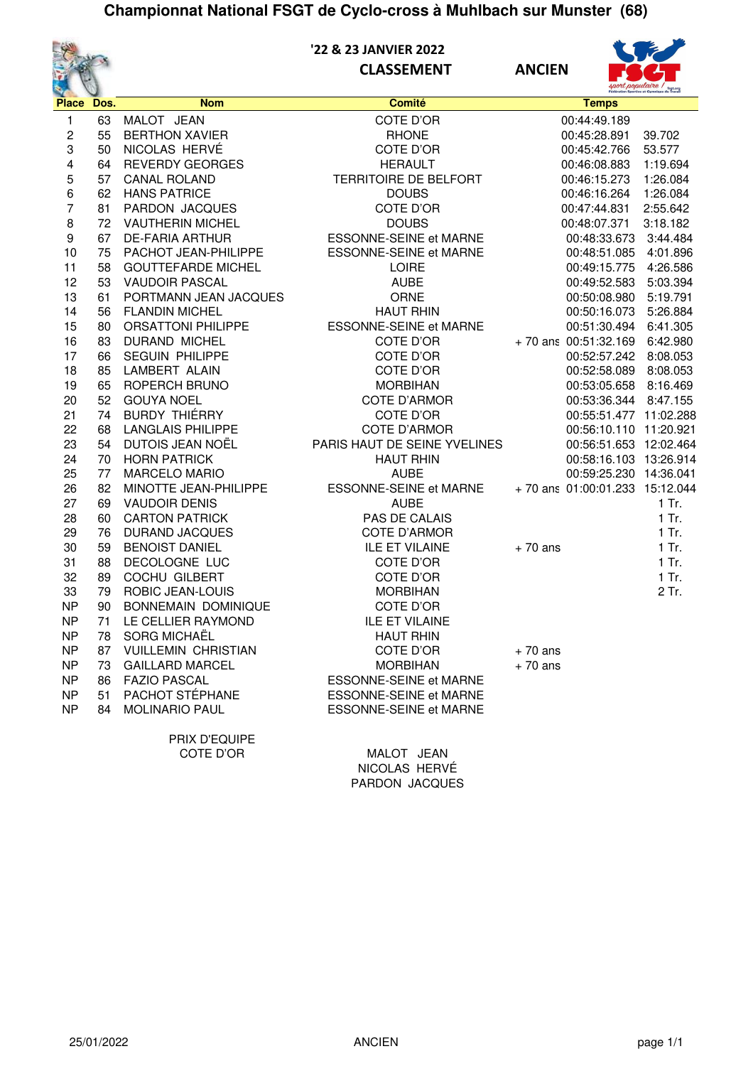

# **'22 & 23 JANVIER 2022**

**CLASSEMENT ANCIEN**



| $\mathbf{v}$   |            |                            |                               |                                |          |
|----------------|------------|----------------------------|-------------------------------|--------------------------------|----------|
|                | Place Dos. | <b>Nom</b>                 | <b>Comité</b>                 | <b>Temps</b>                   |          |
| 1              | 63         | MALOT JEAN                 | COTE D'OR                     | 00:44:49.189                   |          |
| 2              | 55         | <b>BERTHON XAVIER</b>      | <b>RHONE</b>                  | 00:45:28.891                   | 39.702   |
| 3              | 50         | NICOLAS HERVÉ              | COTE D'OR                     | 00:45:42.766                   | 53.577   |
| 4              | 64         | REVERDY GEORGES            | <b>HERAULT</b>                | 00:46:08.883                   | 1:19.694 |
| 5              | 57         | <b>CANAL ROLAND</b>        | TERRITOIRE DE BELFORT         | 00:46:15.273                   | 1:26.084 |
| 6              | 62         | <b>HANS PATRICE</b>        | <b>DOUBS</b>                  | 00:46:16.264                   | 1:26.084 |
| 7              | 81         | PARDON JACQUES             | COTE D'OR                     | 00:47:44.831                   | 2:55.642 |
| 8              | 72         | <b>VAUTHERIN MICHEL</b>    | <b>DOUBS</b>                  | 00:48:07.371                   | 3:18.182 |
| 9              | 67         | <b>DE-FARIA ARTHUR</b>     | ESSONNE-SEINE et MARNE        | 00:48:33.673                   | 3:44.484 |
| 10             | 75         | PACHOT JEAN-PHILIPPE       | ESSONNE-SEINE et MARNE        | 00:48:51.085                   | 4:01.896 |
| 11             | 58         | <b>GOUTTEFARDE MICHEL</b>  | <b>LOIRE</b>                  | 00:49:15.775                   | 4:26.586 |
| 12             | 53         | <b>VAUDOIR PASCAL</b>      | <b>AUBE</b>                   | 00:49:52.583                   | 5:03.394 |
| 13             | 61         | PORTMANN JEAN JACQUES      | ORNE                          | 00:50:08.980                   | 5:19.791 |
| 14             | 56         | <b>FLANDIN MICHEL</b>      | <b>HAUT RHIN</b>              | 00:50:16.073                   | 5:26.884 |
| 15             | 80         | <b>ORSATTONI PHILIPPE</b>  | ESSONNE-SEINE et MARNE        | 00:51:30.494 6:41.305          |          |
| 16             | 83         | <b>DURAND MICHEL</b>       | COTE D'OR                     | +70 ans 00:51:32.169 6:42.980  |          |
| 17             | 66         | <b>SEGUIN PHILIPPE</b>     | COTE D'OR                     | 00:52:57.242 8:08.053          |          |
| 18             | 85         | LAMBERT ALAIN              | COTE D'OR                     | 00:52:58.089                   | 8:08.053 |
| 19             | 65         | ROPERCH BRUNO              | <b>MORBIHAN</b>               | 00:53:05.658 8:16.469          |          |
| 20             | 52         | <b>GOUYA NOEL</b>          | COTE D'ARMOR                  | 00:53:36.344 8:47.155          |          |
| 21             | 74         | <b>BURDY THIÉRRY</b>       | COTE D'OR                     | 00:55:51.477 11:02.288         |          |
| 22             | 68         | <b>LANGLAIS PHILIPPE</b>   | <b>COTE D'ARMOR</b>           | 00:56:10.110 11:20.921         |          |
| 23             | 54         | DUTOIS JEAN NOËL           | PARIS HAUT DE SEINE YVELINES  | 00:56:51.653 12:02.464         |          |
| 24             | 70         | <b>HORN PATRICK</b>        | <b>HAUT RHIN</b>              | 00:58:16.103 13:26.914         |          |
| 25             | 77         | <b>MARCELO MARIO</b>       | <b>AUBE</b>                   | 00:59:25.230 14:36.041         |          |
| 26             | 82         | MINOTTE JEAN-PHILIPPE      | ESSONNE-SEINE et MARNE        | +70 ans 01:00:01.233 15:12.044 |          |
| 27             | 69         | <b>VAUDOIR DENIS</b>       | <b>AUBE</b>                   |                                | $1$ Tr.  |
| 28             | 60         | <b>CARTON PATRICK</b>      | PAS DE CALAIS                 |                                | $1$ Tr.  |
| 29             | 76         | <b>DURAND JACQUES</b>      | <b>COTE D'ARMOR</b>           |                                | $1$ Tr.  |
| 30             | 59         | <b>BENOIST DANIEL</b>      | <b>ILE ET VILAINE</b>         | $+70$ ans                      | 1 Tr.    |
| 31             | 88         | DECOLOGNE LUC              | COTE D'OR                     |                                | 1 Tr.    |
| 32             | 89         | COCHU GILBERT              | COTE D'OR                     |                                | 1 Tr.    |
| 33             | 79         | <b>ROBIC JEAN-LOUIS</b>    | <b>MORBIHAN</b>               |                                | 2 Tr.    |
| <b>NP</b>      | 90         | BONNEMAIN DOMINIQUE        | COTE D'OR                     |                                |          |
| <b>NP</b>      | 71         | LE CELLIER RAYMOND         | <b>ILE ET VILAINE</b>         |                                |          |
| <b>NP</b>      | 78         | SORG MICHAËL               | <b>HAUT RHIN</b>              |                                |          |
| <b>NP</b>      | 87         | <b>VUILLEMIN CHRISTIAN</b> | COTE D'OR                     | $+70$ ans                      |          |
| NP             | 73         | <b>GAILLARD MARCEL</b>     | <b>MORBIHAN</b>               | $+70$ ans                      |          |
| N <sub>P</sub> | 86         | <b>FAZIO PASCAL</b>        | <b>ESSONNE-SEINE et MARNE</b> |                                |          |
| <b>NP</b>      | 51         | PACHOT STÉPHANE            | <b>ESSONNE-SEINE et MARNE</b> |                                |          |
| N <sub>P</sub> | 84         | <b>MOLINARIO PAUL</b>      | <b>ESSONNE-SEINE et MARNE</b> |                                |          |
|                |            | PRIX D'EQUIPE              |                               |                                |          |
|                |            | COTE D'OR                  | MALOT JEAN                    |                                |          |

NICOLAS HERVÉ PARDON JACQUES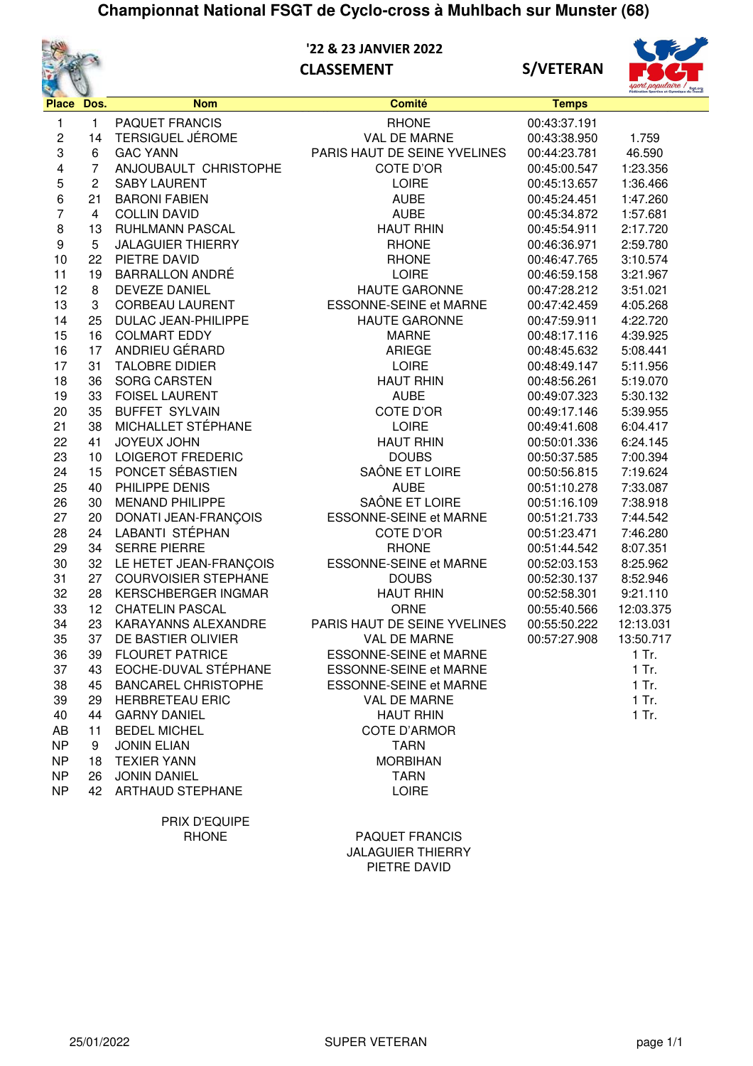

 **'22 & 23 JANVIER 2022 CLASSEMENT S/VETERAN**





| Place            | Dos.            | <b>Nom</b>                  | <b>Comité</b>                 | <b>Temps</b> |           |
|------------------|-----------------|-----------------------------|-------------------------------|--------------|-----------|
| 1                | 1               | <b>PAQUET FRANCIS</b>       | <b>RHONE</b>                  | 00:43:37.191 |           |
| 2                | 14              | <b>TERSIGUEL JÉROME</b>     | VAL DE MARNE                  | 00:43:38.950 | 1.759     |
| 3                | 6               | <b>GAC YANN</b>             | PARIS HAUT DE SEINE YVELINES  | 00:44:23.781 | 46.590    |
| 4                | $\overline{7}$  | ANJOUBAULT CHRISTOPHE       | COTE D'OR                     | 00:45:00.547 | 1:23.356  |
| 5                | $\overline{c}$  | <b>SABY LAURENT</b>         | <b>LOIRE</b>                  | 00:45:13.657 | 1:36.466  |
| 6                | 21              | <b>BARONI FABIEN</b>        | <b>AUBE</b>                   | 00:45:24.451 | 1:47.260  |
| $\overline{7}$   | $\overline{4}$  | <b>COLLIN DAVID</b>         | <b>AUBE</b>                   | 00:45:34.872 | 1:57.681  |
| $\,$ 8 $\,$      | 13              | RUHLMANN PASCAL             | <b>HAUT RHIN</b>              | 00:45:54.911 | 2:17.720  |
| $\boldsymbol{9}$ | 5               | <b>JALAGUIER THIERRY</b>    | <b>RHONE</b>                  | 00:46:36.971 | 2:59.780  |
| 10               | 22              | PIETRE DAVID                | <b>RHONE</b>                  | 00:46:47.765 | 3:10.574  |
| 11               | 19              | <b>BARRALLON ANDRÉ</b>      | <b>LOIRE</b>                  | 00:46:59.158 | 3:21.967  |
| 12               | 8               | <b>DEVEZE DANIEL</b>        | <b>HAUTE GARONNE</b>          | 00:47:28.212 | 3:51.021  |
| 13               | 3               | <b>CORBEAU LAURENT</b>      | <b>ESSONNE-SEINE et MARNE</b> | 00:47:42.459 | 4:05.268  |
| 14               | 25              | <b>DULAC JEAN-PHILIPPE</b>  | <b>HAUTE GARONNE</b>          | 00:47:59.911 | 4:22.720  |
| 15               | 16              | <b>COLMART EDDY</b>         | <b>MARNE</b>                  | 00:48:17.116 | 4:39.925  |
| 16               | 17              | ANDRIEU GÉRARD              | <b>ARIEGE</b>                 | 00:48:45.632 | 5:08.441  |
| 17               | 31              | <b>TALOBRE DIDIER</b>       | LOIRE                         | 00:48:49.147 | 5:11.956  |
| 18               | 36              | <b>SORG CARSTEN</b>         | <b>HAUT RHIN</b>              | 00:48:56.261 | 5:19.070  |
| 19               | 33              | <b>FOISEL LAURENT</b>       | <b>AUBE</b>                   | 00:49:07.323 | 5:30.132  |
| 20               | 35              | <b>BUFFET SYLVAIN</b>       | COTE D'OR                     | 00:49:17.146 | 5:39.955  |
| 21               | 38              | MICHALLET STÉPHANE          | <b>LOIRE</b>                  | 00:49:41.608 | 6:04.417  |
| 22               | 41              | <b>JOYEUX JOHN</b>          | <b>HAUT RHIN</b>              | 00:50:01.336 | 6:24.145  |
| 23               | 10 <sup>°</sup> | <b>LOIGEROT FREDERIC</b>    | <b>DOUBS</b>                  | 00:50:37.585 | 7:00.394  |
| 24               | 15              | PONCET SÉBASTIEN            | SAÔNE ET LOIRE                | 00:50:56.815 | 7:19.624  |
| 25               | 40              | PHILIPPE DENIS              | <b>AUBE</b>                   | 00:51:10.278 | 7:33.087  |
| 26               | 30              | <b>MENAND PHILIPPE</b>      | SAÔNE ET LOIRE                | 00:51:16.109 | 7:38.918  |
| 27               | 20              | DONATI JEAN-FRANÇOIS        | <b>ESSONNE-SEINE et MARNE</b> | 00:51:21.733 | 7:44.542  |
| 28               | 24              | LABANTI STÉPHAN             | COTE D'OR                     | 00:51:23.471 | 7:46.280  |
| 29               | 34              | <b>SERRE PIERRE</b>         | <b>RHONE</b>                  | 00:51:44.542 | 8:07.351  |
| 30               |                 | 32 LE HETET JEAN-FRANÇOIS   | <b>ESSONNE-SEINE et MARNE</b> | 00:52:03.153 | 8:25.962  |
| 31               | 27              | <b>COURVOISIER STEPHANE</b> | <b>DOUBS</b>                  | 00:52:30.137 | 8:52.946  |
| 32               | 28              | <b>KERSCHBERGER INGMAR</b>  | <b>HAUT RHIN</b>              | 00:52:58.301 | 9:21.110  |
| 33               | 12              | <b>CHATELIN PASCAL</b>      | <b>ORNE</b>                   | 00:55:40.566 | 12:03.375 |
| 34               | 23              | KARAYANNS ALEXANDRE         | PARIS HAUT DE SEINE YVELINES  | 00:55:50.222 | 12:13.031 |
| 35               | 37              | DE BASTIER OLIVIER          | <b>VAL DE MARNE</b>           | 00:57:27.908 | 13:50.717 |
| 36               | 39              | <b>FLOURET PATRICE</b>      | <b>ESSONNE-SEINE et MARNE</b> |              | 1 Tr.     |
| 37               |                 | 43 EOCHE-DUVAL STÉPHANE     | ESSONNE-SEINE et MARNE        |              | 1 Tr.     |
| 38               | 45              | <b>BANCAREL CHRISTOPHE</b>  | <b>ESSONNE-SEINE et MARNE</b> |              | 1 Tr.     |
| 39               | 29              | <b>HERBRETEAU ERIC</b>      | <b>VAL DE MARNE</b>           |              | $1$ Tr.   |
| 40               | 44              | <b>GARNY DANIEL</b>         | <b>HAUT RHIN</b>              |              | $1$ Tr.   |
| AB               | 11              | <b>BEDEL MICHEL</b>         | <b>COTE D'ARMOR</b>           |              |           |
| <b>NP</b>        | 9               | <b>JONIN ELIAN</b>          | <b>TARN</b>                   |              |           |
| <b>NP</b>        | 18              | <b>TEXIER YANN</b>          | <b>MORBIHAN</b>               |              |           |
| NP               | 26              | <b>JONIN DANIEL</b>         | <b>TARN</b>                   |              |           |
| NP               | 42              | <b>ARTHAUD STEPHANE</b>     | <b>LOIRE</b>                  |              |           |
|                  |                 | PRIX D'EQUIPE               |                               |              |           |

RHONE PAQUET FRANCIS JALAGUIER THIERRY PIETRE DAVID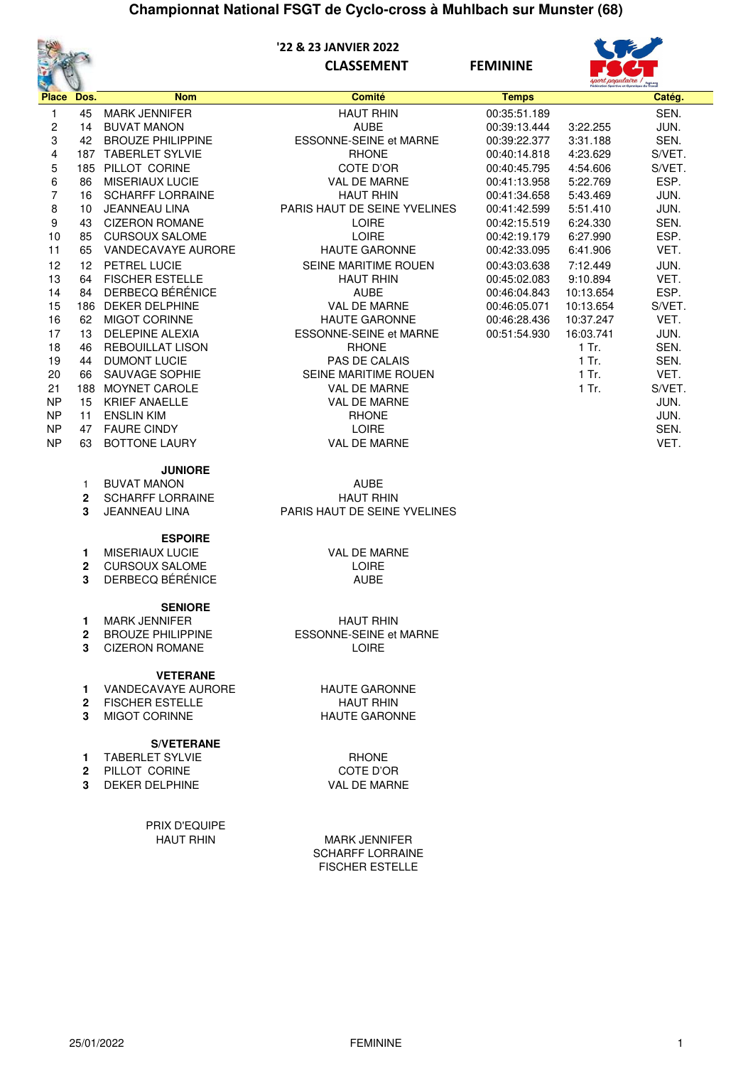

#### **'22 & 23 JANVIER 2022 CLASSEMENT FEMININE**



|              |      |                          |                               |              | sport populaire l' |        |
|--------------|------|--------------------------|-------------------------------|--------------|--------------------|--------|
| <b>Place</b> | Dos. | <b>Nom</b>               | <b>Comité</b>                 | <b>Temps</b> |                    | Catég. |
| 1            | 45   | <b>MARK JENNIFER</b>     | <b>HAUT RHIN</b>              | 00:35:51.189 |                    | SEN.   |
| 2            | 14   | <b>BUVAT MANON</b>       | <b>AUBE</b>                   | 00:39:13.444 | 3:22.255           | JUN.   |
| 3            | 42   | <b>BROUZE PHILIPPINE</b> | <b>ESSONNE-SEINE et MARNE</b> | 00:39:22.377 | 3:31.188           | SEN.   |
| 4            | 187  | <b>TABERLET SYLVIE</b>   | <b>RHONE</b>                  | 00:40:14.818 | 4:23.629           | S/VET. |
| 5            | 185  | PILLOT CORINE            | COTE D'OR                     | 00:40:45.795 | 4:54.606           | S/VET. |
| 6            | 86   | <b>MISERIAUX LUCIE</b>   | <b>VAL DE MARNE</b>           | 00:41:13.958 | 5:22.769           | ESP.   |
| 7            | 16   | <b>SCHARFF LORRAINE</b>  | <b>HAUT RHIN</b>              | 00:41:34.658 | 5:43.469           | JUN.   |
| 8            | 10   | <b>JEANNEAU LINA</b>     | PARIS HAUT DE SEINE YVELINES  | 00:41:42.599 | 5:51.410           | JUN.   |
| 9            | 43   | <b>CIZERON ROMANE</b>    | <b>LOIRE</b>                  | 00:42:15.519 | 6:24.330           | SEN.   |
| 10           | 85   | <b>CURSOUX SALOME</b>    | <b>LOIRE</b>                  | 00:42:19.179 | 6:27.990           | ESP.   |
| 11           | 65   | VANDECAVAYE AURORE       | <b>HAUTE GARONNE</b>          | 00:42:33.095 | 6:41.906           | VET.   |
| 12           | 12   | <b>PETREL LUCIE</b>      | <b>SEINE MARITIME ROUEN</b>   | 00:43:03.638 | 7:12.449           | JUN.   |
| 13           | 64   | <b>FISCHER ESTELLE</b>   | <b>HAUT RHIN</b>              | 00:45:02.083 | 9:10.894           | VET.   |
| 14           | 84   | DERBECQ BÉRÉNICE         | <b>AUBE</b>                   | 00:46:04.843 | 10:13.654          | ESP.   |
| 15           | 186  | <b>DEKER DELPHINE</b>    | <b>VAL DE MARNE</b>           | 00:46:05.071 | 10:13.654          | S/VET. |
| 16           | 62   | <b>MIGOT CORINNE</b>     | <b>HAUTE GARONNE</b>          | 00:46:28.436 | 10:37.247          | VET.   |
| 17           | 13   | <b>DELEPINE ALEXIA</b>   | <b>ESSONNE-SEINE et MARNE</b> | 00:51:54.930 | 16:03.741          | JUN.   |
| 18           | 46   | <b>REBOUILLAT LISON</b>  | <b>RHONE</b>                  |              | $1$ Tr.            | SEN.   |
| 19           | 44   | <b>DUMONT LUCIE</b>      | <b>PAS DE CALAIS</b>          |              | 1 Tr.              | SEN.   |
| 20           | 66   | SAUVAGE SOPHIE           | SEINE MARITIME ROUEN          |              | 1 Tr.              | VET.   |
| 21           | 188  | <b>MOYNET CAROLE</b>     | <b>VAL DE MARNE</b>           |              | 1 Tr.              | S/VET. |
| <b>NP</b>    | 15   | <b>KRIEF ANAELLE</b>     | VAL DE MARNE                  |              |                    | JUN.   |
| <b>NP</b>    | 11   | <b>ENSLIN KIM</b>        | <b>RHONE</b>                  |              |                    | JUN.   |
| <b>NP</b>    | 47   | <b>FAURE CINDY</b>       | <b>LOIRE</b>                  |              |                    | SEN.   |
| <b>NP</b>    | 63   | <b>BOTTONE LAURY</b>     | <b>VAL DE MARNE</b>           |              |                    | VET.   |

**JUNIORE**

| ---------          |                         |
|--------------------|-------------------------|
| BUVAT MANON        | AUBE                    |
| 2 SCHARFF LORRAINE | <b>HAUT RH</b>          |
| 3 JEANNEAU LINA    | <b>PARIS HAUT DE SE</b> |
|                    |                         |

#### **ESPOIRE**

- **1** MISERIAUX LUCIE VAL DE MARNE
- 
- **2** CURSOUX SALOME LOIRE<br> **3** DERBECQ BÉRÉNICE AUBE **3** DERBECQ BÉRÉNICE

#### **SENIORE**

- 
- 
- **3** CIZERON ROMANE

#### **VETERANE**

- **1** VANDECAVAYE AURORE HAUTE GARONNE
- 
- **3** MIGOT CORINNE

#### **S/VETERANE**

- **1** TABERLET SYLVIE **REALLY ASSESSED AT A REALLY SERVICE**
- 
- **3** DEKER DELPHINE

PRIX D'EQUIPE

**HAUT RHIN S HAUT DE SEINE YVELINES** 

1 MARK JENNIFER<br>
2 BROUZE PHILIPPINE<br>
2 BROUZE PHILIPPINE<br>
A BROUZE PHILIPPINE **2** ESSONNE-SEINE et MARNE

**2** FISCHER ESTELLE<br> **3** MIGOT CORINNE<br> **3** MIGOT CORINNE

**2** PILLOT CORINE COTE D'OR<br> **3** DEKER DELPHINE COTE VAL DE MARNE

MARK JENNIFER SCHARFF LORRAINE FISCHER ESTELLE